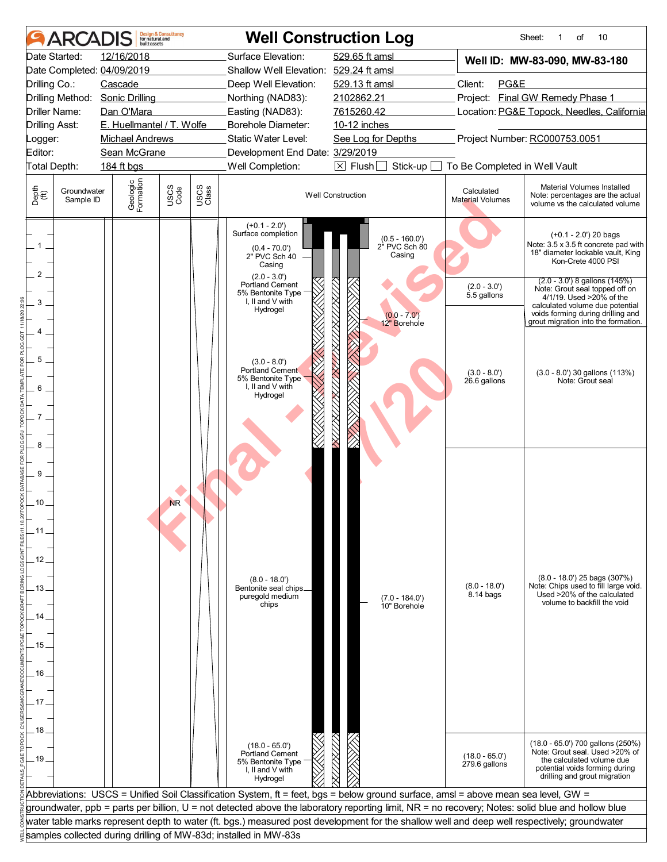|                                     | ARCADIS                                                        | built assets                                                                                                                                                                | <b>Design &amp; Consultancy</b><br>for natural and |               | <b>Well Construction Log</b>                                                                                                                                                                                  |                                                                                                                                                                                                                                                                                                  |                                       | 10<br>Sheet:<br>of<br>1                                                                                                                                                                          |  |
|-------------------------------------|----------------------------------------------------------------|-----------------------------------------------------------------------------------------------------------------------------------------------------------------------------|----------------------------------------------------|---------------|---------------------------------------------------------------------------------------------------------------------------------------------------------------------------------------------------------------|--------------------------------------------------------------------------------------------------------------------------------------------------------------------------------------------------------------------------------------------------------------------------------------------------|---------------------------------------|--------------------------------------------------------------------------------------------------------------------------------------------------------------------------------------------------|--|
| Drilling Co.:<br>Logger:<br>Editor: | Date Started:<br><b>Driller Name:</b><br><b>Drilling Asst:</b> | 12/16/2018<br>Date Completed: 04/09/2019<br>Cascade<br>Drilling Method: Sonic Drilling<br>Dan O'Mara<br>E. Huellmantel / T. Wolfe<br><b>Michael Andrews</b><br>Sean McGrane |                                                    |               | Surface Elevation:<br>Shallow Well Elevation: 529.24 ft amsl<br>Deep Well Elevation:<br>Northing (NAD83):<br>Easting (NAD83):<br>Borehole Diameter:<br>Static Water Level:<br>Development End Date: 3/29/2019 | 529.65 ft amsl<br>529.13 ft amsl<br>2102862.21<br>7615260.42<br>10-12 inches<br>See Log for Depths                                                                                                                                                                                               | Client:<br>PG&E                       | Well ID: MW-83-090, MW-83-180<br>Project: Final GW Remedy Phase 1<br>Location: PG&E Topock, Needles, California<br>Project Number: RC000753.0051                                                 |  |
|                                     | Total Depth:                                                   | 184 ft bgs                                                                                                                                                                  |                                                    |               | Well Completion:                                                                                                                                                                                              | $\boxtimes$ Flush<br>Stick-up                                                                                                                                                                                                                                                                    | To Be Completed in Well Vault         |                                                                                                                                                                                                  |  |
| Depth<br>$\bigoplus_{i=1}^{n}$      | Groundwater<br>Sample ID                                       | Geologic<br>Formation                                                                                                                                                       | USCS<br>Code                                       | USCS<br>Class |                                                                                                                                                                                                               | <b>Well Construction</b>                                                                                                                                                                                                                                                                         | Calculated<br><b>Material Volumes</b> | Material Volumes Installed<br>Note: percentages are the actual<br>volume vs the calculated volume                                                                                                |  |
| 1<br>2                              |                                                                |                                                                                                                                                                             |                                                    |               | $(+0.1 - 2.0')$<br>Surface completion<br>$(0.4 - 70.0')$<br>2" PVC Sch 40<br>Casing<br>$(2.0 - 3.0')$<br>Portland Cement                                                                                      | (0.5 - 160.0')<br>2" PVC Sch 80<br>Casing                                                                                                                                                                                                                                                        | $(2.0 - 3.0')$                        | $(+0.1 - 2.0)$ 20 bags<br>Note: 3.5 x 3.5 ft concrete pad with<br>18" diameter lockable vault, King<br>Kon-Crete 4000 PSI<br>$(2.0 - 3.0')$ 8 gallons $(145%)$<br>Note: Grout seal topped off on |  |
| 3<br>4<br>5                         |                                                                |                                                                                                                                                                             |                                                    |               | 5% Bentonite Type<br>I, II and V with<br>Hydrogel<br>$(3.0 - 8.0)$                                                                                                                                            | $(0.0 - 7.0')$<br>12" Borehole                                                                                                                                                                                                                                                                   | 5.5 gallons                           | 4/1/19. Used >20% of the<br>calculated volume due potential<br>voids forming during drilling and<br>grout migration into the formation.                                                          |  |
| 6<br>7                              |                                                                |                                                                                                                                                                             |                                                    |               | Portland Cement<br>5% Bentonite Type<br>I, II and V with<br>Hydrogel                                                                                                                                          |                                                                                                                                                                                                                                                                                                  | $(3.0 - 8.0')$<br>26.6 gallons        | $(3.0 - 8.0')$ 30 gallons $(113%)$<br>Note: Grout seal                                                                                                                                           |  |
| 8<br>9<br>10<br>. 11.               |                                                                |                                                                                                                                                                             | <b>NR</b>                                          |               |                                                                                                                                                                                                               |                                                                                                                                                                                                                                                                                                  |                                       |                                                                                                                                                                                                  |  |
| 12<br>. 13 .<br>14                  |                                                                |                                                                                                                                                                             |                                                    |               | $(8.0 - 18.0')$<br>Bentonite seal chips_<br>puregold medium<br>chips                                                                                                                                          | $(7.0 - 184.0')$<br>10" Borehole                                                                                                                                                                                                                                                                 | $(8.0 - 18.0')$<br>$8.14$ bags        | $(8.0 - 18.0')$ 25 bags $(307%)$<br>Note: Chips used to fill large void.<br>Used >20% of the calculated<br>volume to backfill the void                                                           |  |
| . 15<br>16                          |                                                                |                                                                                                                                                                             |                                                    |               |                                                                                                                                                                                                               |                                                                                                                                                                                                                                                                                                  |                                       |                                                                                                                                                                                                  |  |
| 17 <sub>1</sub><br>18               |                                                                |                                                                                                                                                                             |                                                    |               |                                                                                                                                                                                                               |                                                                                                                                                                                                                                                                                                  |                                       |                                                                                                                                                                                                  |  |
| .19.                                |                                                                |                                                                                                                                                                             |                                                    |               | $(18.0 - 65.0')$<br>Portland Cement<br>5% Bentonite Type<br>I, II and V with<br>Hydrogel                                                                                                                      |                                                                                                                                                                                                                                                                                                  | $(18.0 - 65.0')$<br>279.6 gallons     | (18.0 - 65.0') 700 gallons (250%)<br>Note: Grout seal. Used >20% of<br>the calculated volume due<br>potential voids forming during<br>drilling and grout migration                               |  |
|                                     |                                                                |                                                                                                                                                                             |                                                    |               |                                                                                                                                                                                                               | Abbreviations: USCS = Unified Soil Classification System, ft = feet, bgs = below ground surface, amsl = above mean sea level, GW =                                                                                                                                                               |                                       |                                                                                                                                                                                                  |  |
|                                     |                                                                |                                                                                                                                                                             |                                                    |               |                                                                                                                                                                                                               | groundwater, ppb = parts per billion, U = not detected above the laboratory reporting limit, NR = no recovery; Notes: solid blue and hollow blue<br>water table marks represent depth to water (ft. bgs.) measured post development for the shallow well and deep well respectively; groundwater |                                       |                                                                                                                                                                                                  |  |
|                                     |                                                                |                                                                                                                                                                             |                                                    |               | samples collected during drilling of MW-83d; installed in MW-83s                                                                                                                                              |                                                                                                                                                                                                                                                                                                  |                                       |                                                                                                                                                                                                  |  |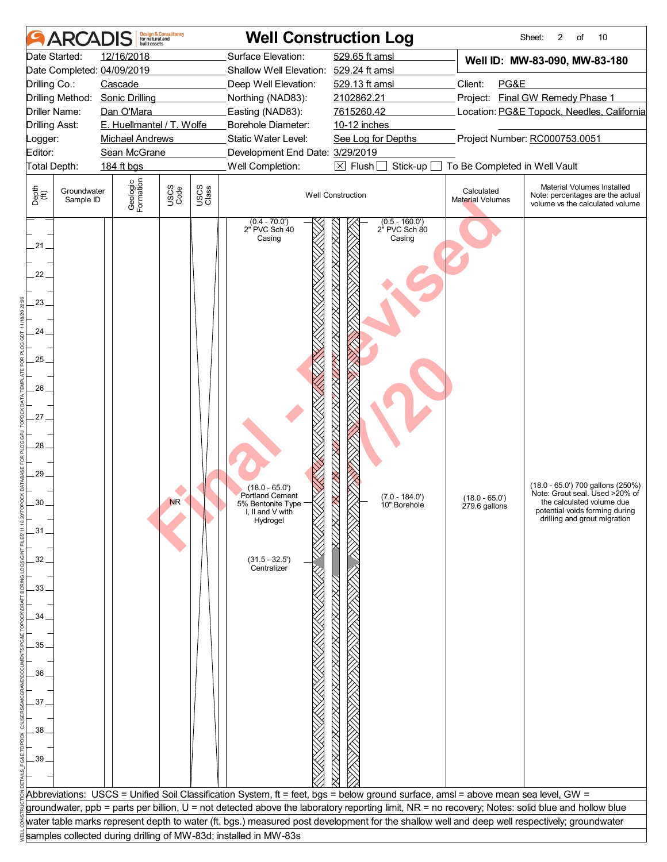|                                                                                                                                  | ARCADIS                  | built assets                    | <b>Design &amp; Consultancy</b><br>for natural and |               |                                                                                                                                                                                  | <b>Well Construction Log</b>                                                                                                                     |                                       | 10<br>Sheet:<br>2<br>of                                                                                                                                            |
|----------------------------------------------------------------------------------------------------------------------------------|--------------------------|---------------------------------|----------------------------------------------------|---------------|----------------------------------------------------------------------------------------------------------------------------------------------------------------------------------|--------------------------------------------------------------------------------------------------------------------------------------------------|---------------------------------------|--------------------------------------------------------------------------------------------------------------------------------------------------------------------|
|                                                                                                                                  | Date Started:            | 12/16/2018                      |                                                    |               | Surface Elevation:                                                                                                                                                               | 529.65 ft amsl                                                                                                                                   |                                       | Well ID: MW-83-090, MW-83-180                                                                                                                                      |
|                                                                                                                                  |                          | Date Completed: 04/09/2019      |                                                    |               | Shallow Well Elevation: 529.24 ft amsl                                                                                                                                           |                                                                                                                                                  |                                       |                                                                                                                                                                    |
| Drilling Co.:                                                                                                                    |                          | Cascade                         |                                                    |               | Deep Well Elevation:                                                                                                                                                             | 529.13 ft amsl                                                                                                                                   | Client:<br>PG&E                       |                                                                                                                                                                    |
|                                                                                                                                  |                          | Drilling Method: Sonic Drilling |                                                    |               | Northing (NAD83):                                                                                                                                                                | 2102862.21                                                                                                                                       |                                       | Project: Final GW Remedy Phase 1                                                                                                                                   |
|                                                                                                                                  | Driller Name:            | Dan O'Mara                      |                                                    |               | Easting (NAD83):                                                                                                                                                                 | 7615260.42                                                                                                                                       |                                       | Location: PG&E Topock, Needles, California                                                                                                                         |
|                                                                                                                                  | <b>Drilling Asst:</b>    | E. Huellmantel / T. Wolfe       |                                                    |               | Borehole Diameter:                                                                                                                                                               | 10-12 inches                                                                                                                                     |                                       |                                                                                                                                                                    |
| Logger:                                                                                                                          |                          | <b>Michael Andrews</b>          |                                                    |               | Static Water Level:                                                                                                                                                              | See Log for Depths                                                                                                                               |                                       | Project Number: RC000753.0051                                                                                                                                      |
| Editor:                                                                                                                          | Total Depth:             | Sean McGrane<br>184 ft bgs      |                                                    |               | Development End Date: 3/29/2019<br>Well Completion:                                                                                                                              | $\boxtimes$ Flush<br>Stick-up                                                                                                                    | To Be Completed in Well Vault         |                                                                                                                                                                    |
|                                                                                                                                  |                          |                                 |                                                    |               |                                                                                                                                                                                  |                                                                                                                                                  |                                       |                                                                                                                                                                    |
| Depth<br>$\bigoplus_{i=1}^{n}$                                                                                                   | Groundwater<br>Sample ID | Geologic<br>Formation           | USCS<br>Code                                       | USCS<br>Class |                                                                                                                                                                                  | <b>Well Construction</b>                                                                                                                         | Calculated<br><b>Material Volumes</b> | Material Volumes Installed<br>Note: percentages are the actual<br>volume vs the calculated volume                                                                  |
| .21.<br>22.<br>23.<br>24<br>$25 -$<br>26.<br>27.<br>28.<br>29<br>$30 -$<br>.31.<br>32<br>33.<br>34<br>35<br>36<br>37<br>38<br>39 |                          |                                 | <b>NR</b>                                          |               | $(0.4 - 70.0')$<br>2" PVC Sch 40<br>Casing<br>$(18.0 - 65.0')$<br><b>Portland Cement</b><br>5% Bentonite Type<br>I, II and V with<br>Hydrogel<br>$(31.5 - 32.5')$<br>Centralizer | $(0.5 - 160.0')$<br>2 <sup>h</sup> PVC Sch 80<br>Casing<br>$(7.0 - 184.0')$<br>10" Borehole                                                      | $(18.0 - 65.0')$<br>279.6 gallons     | (18.0 - 65.0') 700 gallons (250%)<br>Note: Grout seal. Used >20% of<br>the calculated volume due<br>potential voids forming during<br>drilling and grout migration |
|                                                                                                                                  |                          |                                 |                                                    |               |                                                                                                                                                                                  |                                                                                                                                                  |                                       |                                                                                                                                                                    |
|                                                                                                                                  |                          |                                 |                                                    |               |                                                                                                                                                                                  |                                                                                                                                                  |                                       |                                                                                                                                                                    |
|                                                                                                                                  |                          |                                 |                                                    |               |                                                                                                                                                                                  | Abbreviations: USCS = Unified Soil Classification System, ft = feet, bgs = below ground surface, amsl = above mean sea level, GW =               |                                       |                                                                                                                                                                    |
|                                                                                                                                  |                          |                                 |                                                    |               |                                                                                                                                                                                  | groundwater, ppb = parts per billion, U = not detected above the laboratory reporting limit, NR = no recovery; Notes: solid blue and hollow blue |                                       |                                                                                                                                                                    |
|                                                                                                                                  |                          |                                 |                                                    |               |                                                                                                                                                                                  | water table marks represent depth to water (ft. bgs.) measured post development for the shallow well and deep well respectively; groundwater     |                                       |                                                                                                                                                                    |
|                                                                                                                                  |                          |                                 |                                                    |               | samples collected during drilling of MW-83d; installed in MW-83s                                                                                                                 |                                                                                                                                                  |                                       |                                                                                                                                                                    |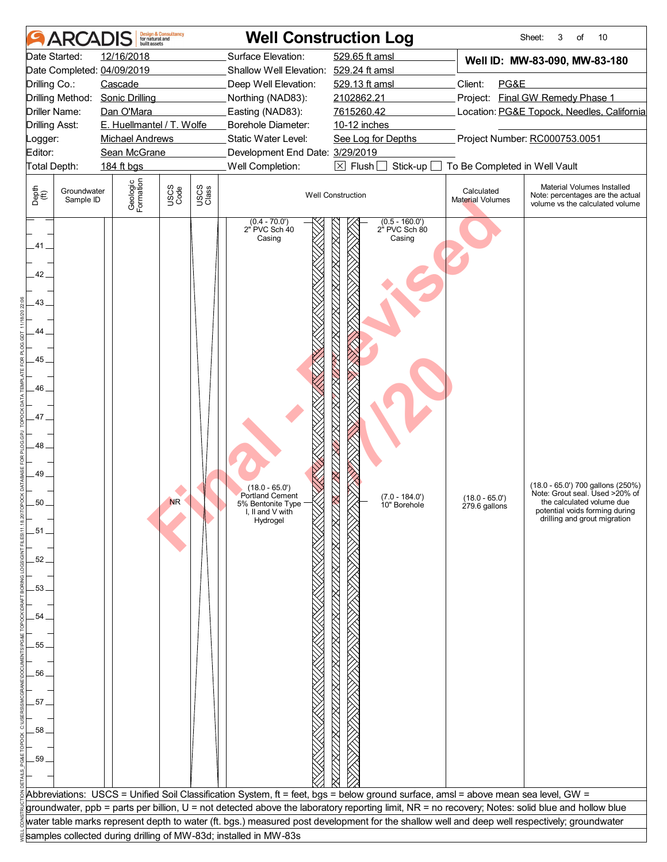| ARCA                                                                                                                                                                                                          | <b>Design &amp; Consultancy</b><br>for natural and<br>huilt assets                                                                                                                         |                                                                                                                                                                                                                                                                                                                                                                      | <b>Well Construction Log</b>                                                                                                                                                        |                                                                                                                                                                                                                                                                                                                                             | 10<br>Sheet:<br>3<br>of                                                                                                                                            |
|---------------------------------------------------------------------------------------------------------------------------------------------------------------------------------------------------------------|--------------------------------------------------------------------------------------------------------------------------------------------------------------------------------------------|----------------------------------------------------------------------------------------------------------------------------------------------------------------------------------------------------------------------------------------------------------------------------------------------------------------------------------------------------------------------|-------------------------------------------------------------------------------------------------------------------------------------------------------------------------------------|---------------------------------------------------------------------------------------------------------------------------------------------------------------------------------------------------------------------------------------------------------------------------------------------------------------------------------------------|--------------------------------------------------------------------------------------------------------------------------------------------------------------------|
| Date Started:<br>Date Completed: 04/09/2019<br>Drilling Co.:<br>Drilling Method:<br>Driller Name:<br><b>Drilling Asst:</b><br>Logger:<br>Editor:<br>Total Depth:<br>Depth<br>(ff)<br>Groundwater<br>Sample ID | 12/16/2018<br>Cascade<br><b>Sonic Drilling</b><br>Dan O'Mara<br>E. Huellmantel / T. Wolfe<br><b>Michael Andrews</b><br>Sean McGrane<br>184 ft bgs<br>Geologic<br>Formation<br>USCS<br>Code | Surface Elevation:<br>Shallow Well Elevation: 529.24 ft amsl<br>Deep Well Elevation:<br>Northing (NAD83):<br>Easting (NAD83):<br>Borehole Diameter:<br>Static Water Level:<br>Development End Date: 3/29/2019<br>Well Completion:<br>USCS<br>Class<br>$(0.4 - 70.0')$<br>2" PVC Sch 40                                                                               | 529.65 ft amsl<br>529.13 ft amsl<br>2102862.21<br>7615260.42<br>10-12 inches<br>See Log for Depths<br>$\boxtimes$ Flush<br>Stick-up<br><b>Well Construction</b><br>$(0.5 - 160.0')$ | Well ID: MW-83-090, MW-83-180<br>Client:<br>PG&E<br>Project: Final GW Remedy Phase 1<br>Location: PG&E Topock, Needles, California<br>Project Number: RC000753.0051<br>To Be Completed in Well Vault<br>Material Volumes Installed<br>Calculated<br>Note: percentages are the actual<br>Material Volumes<br>volume vs the calculated volume |                                                                                                                                                                    |
| .41.<br>42<br>43.<br>44<br>45_<br>46<br>47<br>48<br>49<br>50<br>.51<br>52<br>53.<br>54<br>55<br>56<br>57 <sub>2</sub><br>58<br>59.                                                                            | <b>NR</b>                                                                                                                                                                                  | Casing<br>$(18.0 - 65.0')$<br><b>Portland Cement</b><br>5% Bentonite Type<br>I, II and $V$ with<br>Hydrogel<br>Abbreviations: USCS = Unified Soil Classification System, ft = feet, bgs = below ground surface, amsl = above mean sea level, GW =                                                                                                                    | 2 <sup>"</sup> PVC Sch 80<br>Casing<br>$(7.0 - 184.0')$<br>10" Borehole                                                                                                             | $(18.0 - 65.0')$<br>279.6 gallons                                                                                                                                                                                                                                                                                                           | (18.0 - 65.0') 700 gallons (250%)<br>Note: Grout seal. Used >20% of<br>the calculated volume due<br>potential voids forming during<br>drilling and grout migration |
|                                                                                                                                                                                                               |                                                                                                                                                                                            | groundwater, ppb = parts per billion, U = not detected above the laboratory reporting limit, NR = no recovery; Notes: solid blue and hollow blue<br>water table marks represent depth to water (ft. bgs.) measured post development for the shallow well and deep well respectively; groundwater<br>samples collected during drilling of MW-83d; installed in MW-83s |                                                                                                                                                                                     |                                                                                                                                                                                                                                                                                                                                             |                                                                                                                                                                    |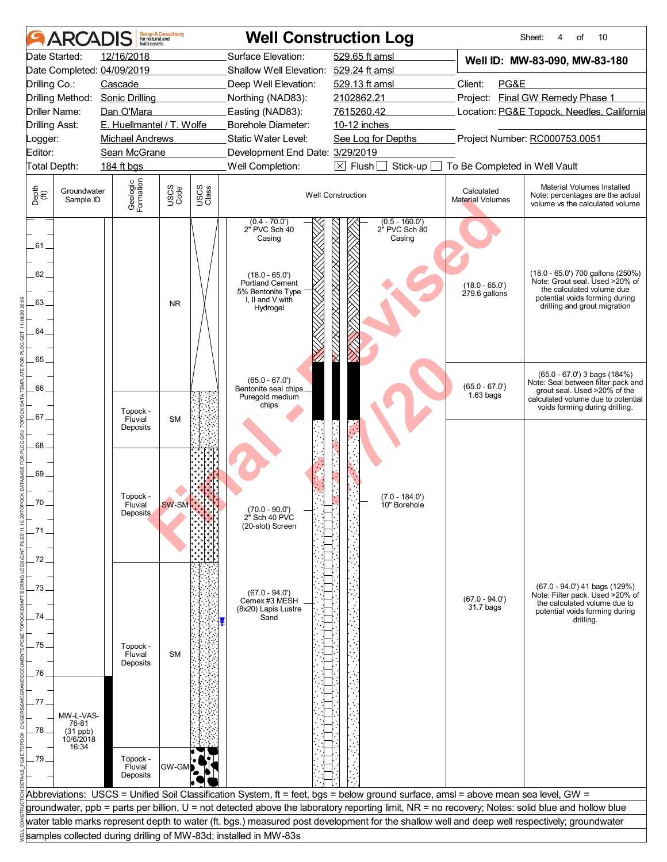|                                | <b>ARCADIS</b>                                         | huilt assets                                       | <b>Design &amp; Consultancy</b><br>for natural and |               |                                                                                                                                        | <b>Well Construction Log</b>                                                                                                                     |                                     | Sheet:<br>10<br>οf<br>4                                                                                                                                                        |
|--------------------------------|--------------------------------------------------------|----------------------------------------------------|----------------------------------------------------|---------------|----------------------------------------------------------------------------------------------------------------------------------------|--------------------------------------------------------------------------------------------------------------------------------------------------|-------------------------------------|--------------------------------------------------------------------------------------------------------------------------------------------------------------------------------|
|                                | Date Started:                                          | 12/16/2018                                         |                                                    |               | Surface Elevation:                                                                                                                     | 529.65 ft amsl                                                                                                                                   |                                     | Well ID: MW-83-090, MW-83-180                                                                                                                                                  |
|                                |                                                        | Date Completed: 04/09/2019                         |                                                    |               | Shallow Well Elevation: 529.24 ft amsl                                                                                                 |                                                                                                                                                  |                                     |                                                                                                                                                                                |
| Drilling Co.:                  |                                                        | Cascade                                            |                                                    |               | Deep Well Elevation:                                                                                                                   | 529.13 ft amsl                                                                                                                                   | Client:<br>PG&E                     |                                                                                                                                                                                |
|                                | Drilling Method:                                       | <b>Sonic Drilling</b>                              |                                                    |               | Northing (NAD83):                                                                                                                      | 2102862.21                                                                                                                                       |                                     | Project: Final GW Remedy Phase 1                                                                                                                                               |
|                                | Driller Name:                                          | Dan O'Mara                                         |                                                    |               | Easting (NAD83):                                                                                                                       | 7615260.42                                                                                                                                       |                                     | Location: PG&E Topock, Needles, California                                                                                                                                     |
| <b>Drilling Asst:</b>          |                                                        | E. Huellmantel / T. Wolfe                          |                                                    |               | <b>Borehole Diameter:</b>                                                                                                              | 10-12 inches                                                                                                                                     |                                     |                                                                                                                                                                                |
| _ogger:                        |                                                        | <b>Michael Andrews</b>                             |                                                    |               | Static Water Level:                                                                                                                    | See Log for Depths                                                                                                                               |                                     | Project Number: RC000753.0051                                                                                                                                                  |
| Editor:                        |                                                        | Sean McGrane                                       |                                                    |               | Development End Date: 3/29/2019                                                                                                        |                                                                                                                                                  |                                     |                                                                                                                                                                                |
| Total Depth:                   |                                                        | 184 ft bgs                                         |                                                    |               | Well Completion:                                                                                                                       | $\boxed{\times}$ Flush<br>Stick-up                                                                                                               | To Be Completed in Well Vault       |                                                                                                                                                                                |
| Depth<br>$\bigoplus_{i=1}^{n}$ | Groundwater<br>Sample ID                               | Geologic<br>Formation                              | USCS<br>Code                                       | USCS<br>Class |                                                                                                                                        | <b>Well Construction</b>                                                                                                                         | Calculated<br>Material Volumes      | Material Volumes Installed<br>Note: percentages are the actual<br>volume vs the calculated volume                                                                              |
| 61<br>62<br>63.<br>64          |                                                        |                                                    | <b>NR</b>                                          |               | $(0.4 - 70.0')$<br>2" PVC Sch 40<br>Casing<br>$(18.0 - 65.0')$<br>Portland Cement<br>5% Bentonite Type<br>I, II and V with<br>Hydrogel | $(0.5 - 160.0')$<br>2" PVC Sch 80<br>Casing                                                                                                      | $(18.0 - 65.0')$<br>$279.6$ gallons | (18.0 - 65.0') 700 gallons (250%)<br>Note: Grout seal. Used >20% of<br>the calculated volume due<br>potential voids forming during<br>drilling and grout migration             |
| 65_<br>66.<br>67.              |                                                        | Topock -<br>Fluvial                                | <b>SM</b>                                          |               | $(65.0 - 67.0')$<br>Bentonite seal chips_<br>Puregold medium<br>chips                                                                  |                                                                                                                                                  | $(65.0 - 67.0')$<br>$1.63$ bags     | $(65.0 - 67.0')$ 3 bags $(184%)$<br>Note: Seal between filter pack and<br>grout seal. Used >20% of the<br>calculated volume due to potential<br>voids forming during drilling. |
| 68_<br>69.<br>70<br>.71        |                                                        | Deposits<br>Topock -<br>Fluvial<br><b>Deposits</b> | <b>SW-SM</b>                                       |               | $(70.0 - 90.0)$<br>2 <sup>ª</sup> Sch 40 PVC<br>(20-slot) Screen                                                                       | $(7.0 - 184.0')$<br>10" Borehole                                                                                                                 |                                     |                                                                                                                                                                                |
| 72                             |                                                        |                                                    |                                                    |               |                                                                                                                                        |                                                                                                                                                  |                                     |                                                                                                                                                                                |
| 73                             |                                                        |                                                    |                                                    |               | $(67.0 - 94.0')$<br>Cemex #3 MESH                                                                                                      |                                                                                                                                                  | $(67.0 - 94.0')$                    | $(67.0 - 94.0')$ 41 bags $(129%)$<br>Note: Filter pack. Used >20% of<br>the calculated volume due to                                                                           |
| 74                             |                                                        |                                                    |                                                    |               | (8x20) Lapis Lustre<br>Sand                                                                                                            |                                                                                                                                                  | 31.7 bags                           | potential voids forming during<br>drilling.                                                                                                                                    |
|                                |                                                        |                                                    |                                                    |               |                                                                                                                                        |                                                                                                                                                  |                                     |                                                                                                                                                                                |
| .75                            |                                                        | Topock -                                           |                                                    |               |                                                                                                                                        |                                                                                                                                                  |                                     |                                                                                                                                                                                |
|                                |                                                        | Fluvial                                            | <b>SM</b>                                          |               |                                                                                                                                        |                                                                                                                                                  |                                     |                                                                                                                                                                                |
| 76                             |                                                        | Deposits                                           |                                                    |               |                                                                                                                                        |                                                                                                                                                  |                                     |                                                                                                                                                                                |
|                                |                                                        |                                                    |                                                    |               |                                                                                                                                        |                                                                                                                                                  |                                     |                                                                                                                                                                                |
| 77.                            |                                                        |                                                    |                                                    |               |                                                                                                                                        |                                                                                                                                                  |                                     |                                                                                                                                                                                |
| .78                            | MW-L-VAS-<br>76-81<br>$(31$ ppb)<br>10/6/2018<br>16:34 |                                                    |                                                    |               |                                                                                                                                        |                                                                                                                                                  |                                     |                                                                                                                                                                                |
| .79 .                          |                                                        | Topock -<br>Fluvial<br>Deposits                    | GW-GM                                              |               |                                                                                                                                        |                                                                                                                                                  |                                     |                                                                                                                                                                                |
|                                |                                                        |                                                    |                                                    |               |                                                                                                                                        | Abbreviations: USCS = Unified Soil Classification System, ft = feet, bgs = below ground surface, amsl = above mean sea level, GW =               |                                     |                                                                                                                                                                                |
|                                |                                                        |                                                    |                                                    |               |                                                                                                                                        | groundwater, ppb = parts per billion, U = not detected above the laboratory reporting limit, NR = no recovery; Notes: solid blue and hollow blue |                                     |                                                                                                                                                                                |
|                                |                                                        |                                                    |                                                    |               |                                                                                                                                        | water table marks represent depth to water (ft. bgs.) measured post development for the shallow well and deep well respectively; groundwater     |                                     |                                                                                                                                                                                |
|                                |                                                        |                                                    |                                                    |               | samples collected during drilling of MW-83d; installed in MW-83s                                                                       |                                                                                                                                                  |                                     |                                                                                                                                                                                |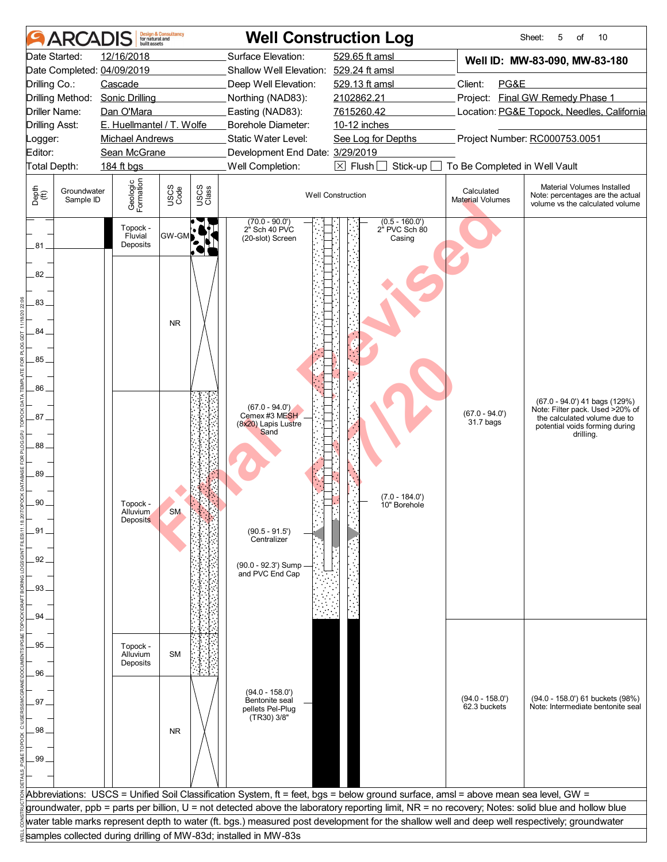|                                                                                                                                                                                                                              | <b>Design &amp; Consultancy</b><br>for natural and<br>huilt assets                                                                                                                                |                                        | <b>Well Construction Log</b>                                                                                                                                                                                                                                                               |                                                                                                                                                                                                                                                                                                                                                                                                                                        |                                                                                                                                                                                                                                                                                                                                             | 10<br>Sheet:<br>5<br>of                                                                                                                         |  |
|------------------------------------------------------------------------------------------------------------------------------------------------------------------------------------------------------------------------------|---------------------------------------------------------------------------------------------------------------------------------------------------------------------------------------------------|----------------------------------------|--------------------------------------------------------------------------------------------------------------------------------------------------------------------------------------------------------------------------------------------------------------------------------------------|----------------------------------------------------------------------------------------------------------------------------------------------------------------------------------------------------------------------------------------------------------------------------------------------------------------------------------------------------------------------------------------------------------------------------------------|---------------------------------------------------------------------------------------------------------------------------------------------------------------------------------------------------------------------------------------------------------------------------------------------------------------------------------------------|-------------------------------------------------------------------------------------------------------------------------------------------------|--|
| <b>ARCA</b><br>Date Started:<br>Date Completed: 04/09/2019<br>Drilling Co.:<br>Drilling Method:<br>Driller Name:<br><b>Drilling Asst:</b><br>Logger:<br>Editor:<br>Total Depth:<br>Depth<br>(ff)<br>Groundwater<br>Sample ID | 12/16/2018<br>Cascade<br><b>Sonic Drilling</b><br>Dan O'Mara<br>E. Huellmantel / T. Wolfe<br><b>Michael Andrews</b><br>Sean McGrane<br>184 ft bgs<br>Geologic<br>Formation<br>Topock -<br>Fluvial | USCS<br>Code<br>USCS<br>Class<br>GW-GM | Surface Elevation:<br>Shallow Well Elevation: 529.24 ft amsl<br>Deep Well Elevation:<br>Northing (NAD83):<br>Easting (NAD83):<br>Borehole Diameter:<br>Static Water Level:<br>Development End Date: 3/29/2019<br>Well Completion:<br>$(70.0 - 90.0')$<br>2" Sch 40 PVC<br>(20-slot) Screen | 529.65 ft amsl<br>529.13 ft amsl<br>2102862.21<br>7615260.42<br>10-12 inches<br>See Log for Depths<br>$\boxtimes$ Flush<br>Stick-up<br><b>Well Construction</b><br>$(0.5 - 160.0')$<br>2" PVC Sch 80<br>Casing                                                                                                                                                                                                                         | Well ID: MW-83-090, MW-83-180<br>Client:<br>PG&E<br>Project: Final GW Remedy Phase 1<br>Location: PG&E Topock, Needles, California<br>Project Number: RC000753.0051<br>To Be Completed in Well Vault<br>Material Volumes Installed<br>Calculated<br>Note: percentages are the actual<br>Material Volumes<br>volume vs the calculated volume |                                                                                                                                                 |  |
| 81<br>82<br>83<br>84<br>85<br>86<br>87<br>88<br>89<br>90<br>.91.<br>92<br>93.<br>94.                                                                                                                                         | Deposits<br>Topock -<br>Alluvium<br><b>Deposits</b>                                                                                                                                               | <b>NR</b><br><b>SM</b>                 | $(67.0 - 94.0')$<br>Cemex #3 MESH<br>(8x20) Lapis Lustre<br>Sand<br>$(90.5 - 91.5')$<br>Centralizer<br>(90.0 - 92.3') Sump<br>and PVC End Cap                                                                                                                                              | $(7.0 - 184.0')$<br>10" Borehole                                                                                                                                                                                                                                                                                                                                                                                                       | $(67.0 - 94.0')$<br>31.7 bags                                                                                                                                                                                                                                                                                                               | (67.0 - 94.0') 41 bags (129%)<br>Note: Filter pack. Used >20% of<br>the calculated volume due to<br>potential voids forming during<br>drilling. |  |
| 95<br>96.<br>97<br>98<br>99.                                                                                                                                                                                                 | Topock -<br>Alluvium<br>Deposits                                                                                                                                                                  | <b>SM</b><br><b>NR</b>                 | $(94.0 - 158.0')$<br>Bentonite seal<br>pellets Pel-Plug<br>(TR30) 3/8"                                                                                                                                                                                                                     |                                                                                                                                                                                                                                                                                                                                                                                                                                        | $(94.0 - 158.0')$<br>62.3 buckets                                                                                                                                                                                                                                                                                                           | (94.0 - 158.0') 61 buckets (98%)<br>Note: Intermediate bentonite seal                                                                           |  |
|                                                                                                                                                                                                                              |                                                                                                                                                                                                   |                                        |                                                                                                                                                                                                                                                                                            | Abbreviations: USCS = Unified Soil Classification System, ft = feet, bgs = below ground surface, amsl = above mean sea level, GW =<br>groundwater, ppb = parts per billion, U = not detected above the laboratory reporting limit, NR = no recovery; Notes: solid blue and hollow blue<br>water table marks represent depth to water (ft. bgs.) measured post development for the shallow well and deep well respectively; groundwater |                                                                                                                                                                                                                                                                                                                                             |                                                                                                                                                 |  |
|                                                                                                                                                                                                                              |                                                                                                                                                                                                   |                                        | samples collected during drilling of MW-83d; installed in MW-83s                                                                                                                                                                                                                           |                                                                                                                                                                                                                                                                                                                                                                                                                                        |                                                                                                                                                                                                                                                                                                                                             |                                                                                                                                                 |  |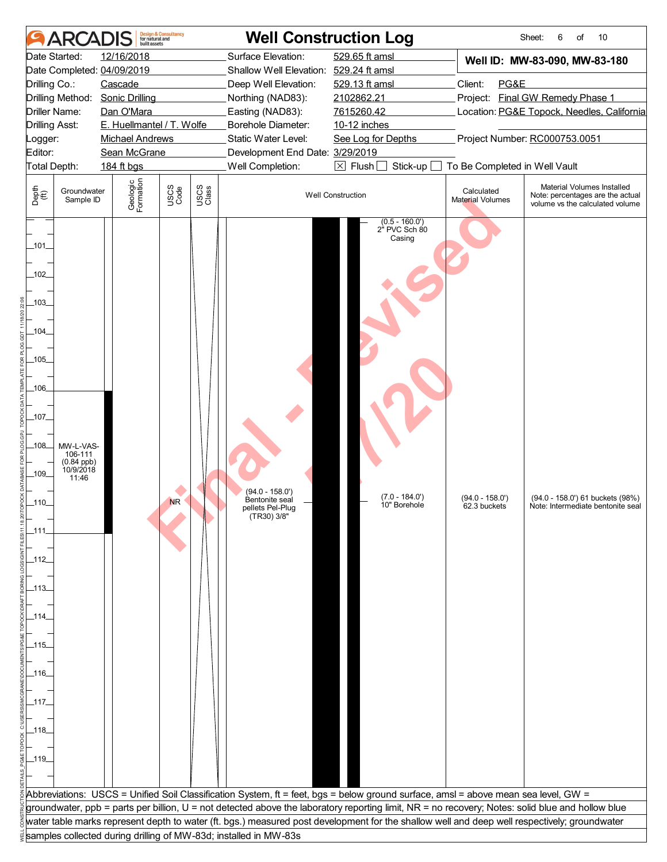| ARCADIS                                                                                                                                                                                                                                      | <b>Design &amp; Consultancy</b><br>for natural and<br>built assets                                                                                |               | <b>Well Construction Log</b>                                                                                                                                                                                                      |                                                                                                                                                                                                                       |                                                  | Sheet:<br>10<br>6<br>of                                                                                                                          |
|----------------------------------------------------------------------------------------------------------------------------------------------------------------------------------------------------------------------------------------------|---------------------------------------------------------------------------------------------------------------------------------------------------|---------------|-----------------------------------------------------------------------------------------------------------------------------------------------------------------------------------------------------------------------------------|-----------------------------------------------------------------------------------------------------------------------------------------------------------------------------------------------------------------------|--------------------------------------------------|--------------------------------------------------------------------------------------------------------------------------------------------------|
| Date Started:<br>Date Completed: 04/09/2019<br>Drilling Co.:<br>Drilling Method:<br>Driller Name:<br><b>Drilling Asst:</b><br>Logger:<br>Editor:<br>Total Depth:                                                                             | 12/16/2018<br>Cascade<br><b>Sonic Drilling</b><br>Dan O'Mara<br>E. Huellmantel / T. Wolfe<br><b>Michael Andrews</b><br>Sean McGrane<br>184 ft bgs |               | Surface Elevation:<br>Shallow Well Elevation: 529.24 ft amsl<br>Deep Well Elevation:<br>Northing (NAD83):<br>Easting (NAD83):<br>Borehole Diameter:<br>Static Water Level:<br>Development End Date: 3/29/2019<br>Well Completion: | 529.65 ft amsl<br>529.13 ft amsl<br>2102862.21<br>7615260.42<br>10-12 inches<br>See Log for Depths<br>$\boxtimes$ Flush<br>Stick-up                                                                                   | Client:<br>PG&E<br>To Be Completed in Well Vault | Well ID: MW-83-090, MW-83-180<br>Project: Final GW Remedy Phase 1<br>Location: PG&E Topock, Needles, California<br>Project Number: RC000753.0051 |
| Depth<br>$\bigoplus_{i=1}^{n}$<br>Groundwater<br>Sample ID                                                                                                                                                                                   | Geologic<br>Formation<br>USCS<br>Code                                                                                                             | USCS<br>Class |                                                                                                                                                                                                                                   | <b>Well Construction</b>                                                                                                                                                                                              | Calculated<br><b>Material Volumes</b>            | Material Volumes Installed<br>Note: percentages are the actual<br>volume vs the calculated volume                                                |
| $\_101$<br>$-102$<br>$-103$<br>_104_<br>$-105$<br>-106-<br>_107_<br>$-108$<br>MW-L-VAS-<br>106-111<br>$(0.84$ ppb)<br>10/9/2018<br>$-109$<br>11:46<br>_110_<br>_111.<br>_112_<br>_113_<br>_114_<br>_115_<br>_116_<br>_117_<br>_118_<br>_119_ | <b>NR</b>                                                                                                                                         |               | (94.0 - 158.0')<br>Bentonite seal<br>pellets Pel-Plug<br>(TR30) 3/8"                                                                                                                                                              | $(0.5 - 160.0')$<br>2" PVC Sch 80<br>Casing<br>$(7.0 - 184.0')$<br>10" Borehole<br>Abbreviations: USCS = Unified Soil Classification System, ft = feet, bgs = below ground surface, amsl = above mean sea level, GW = | (94.0 - 158.0')<br>62.3 buckets                  | (94.0 - 158.0') 61 buckets (98%)<br>Note: Intermediate bentonite seal                                                                            |
|                                                                                                                                                                                                                                              |                                                                                                                                                   |               |                                                                                                                                                                                                                                   | groundwater, ppb = parts per billion, U = not detected above the laboratory reporting limit, NR = no recovery; Notes: solid blue and hollow blue                                                                      |                                                  |                                                                                                                                                  |
|                                                                                                                                                                                                                                              |                                                                                                                                                   |               | samples collected during drilling of MW-83d; installed in MW-83s                                                                                                                                                                  | water table marks represent depth to water (ft. bgs.) measured post development for the shallow well and deep well respectively; groundwater                                                                          |                                                  |                                                                                                                                                  |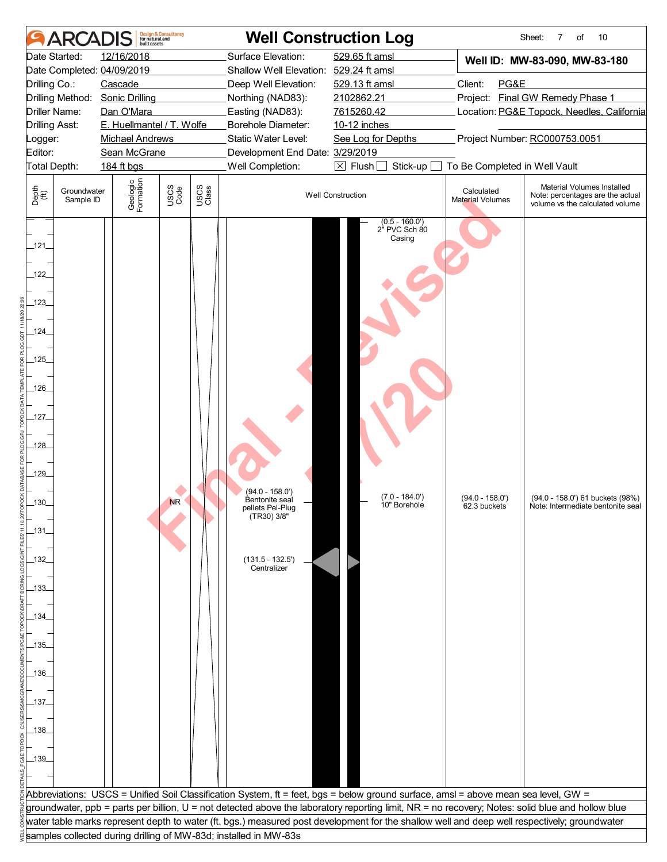|                                                                                                                                                                                              | <b>ARCA</b>                                                                | built assets                                                                                                                                                                                                       | <b>Design &amp; Consultancy</b><br>for natural and |               |                                                                                                                                                                                                                                   | <b>Well Construction Log</b>                                                                                                                                                                                          |                                                                                           | 10<br>Sheet:<br>7<br>of                                                                                                                                                                                                                               |
|----------------------------------------------------------------------------------------------------------------------------------------------------------------------------------------------|----------------------------------------------------------------------------|--------------------------------------------------------------------------------------------------------------------------------------------------------------------------------------------------------------------|----------------------------------------------------|---------------|-----------------------------------------------------------------------------------------------------------------------------------------------------------------------------------------------------------------------------------|-----------------------------------------------------------------------------------------------------------------------------------------------------------------------------------------------------------------------|-------------------------------------------------------------------------------------------|-------------------------------------------------------------------------------------------------------------------------------------------------------------------------------------------------------------------------------------------------------|
| Drilling Co.:<br><b>Drilling Asst:</b><br>Logger:<br>Editor:<br>Depth<br>$\bigoplus_{i=1}^{n}$                                                                                               | Date Started:<br>Driller Name:<br>Total Depth:<br>Groundwater<br>Sample ID | 12/16/2018<br>Date Completed: 04/09/2019<br>Cascade<br>Drilling Method: Sonic Drilling<br>Dan O'Mara<br>E. Huellmantel / T. Wolfe<br><b>Michael Andrews</b><br>Sean McGrane<br>184 ft bgs<br>Geologic<br>Formation | USCS<br>Code                                       | USCS<br>Class | Surface Elevation:<br>Shallow Well Elevation: 529.24 ft amsl<br>Deep Well Elevation:<br>Northing (NAD83):<br>Easting (NAD83):<br>Borehole Diameter:<br>Static Water Level:<br>Development End Date: 3/29/2019<br>Well Completion: | 529.65 ft amsl<br>529.13 ft amsl<br>2102862.21<br>7615260.42<br>10-12 inches<br>See Log for Depths<br>$\boxtimes$ Flush $\Box$<br>Stick-up<br><b>Well Construction</b>                                                | Client:<br>PG&E<br>To Be Completed in Well Vault<br>Calculated<br><b>Material Volumes</b> | Well ID: MW-83-090, MW-83-180<br>Project: Final GW Remedy Phase 1<br>Location: PG&E Topock, Needles, California<br>Project Number: RC000753.0051<br>Material Volumes Installed<br>Note: percentages are the actual<br>volume vs the calculated volume |
| _121_<br>122<br>$123$ <sub>-</sub><br>$-124$<br>$-125$<br>$-126$<br>$-127$<br>$-128$<br>$-129$<br>$.130 -$<br>$-131$<br>_132_<br>_133_<br>_134_<br>_135_<br>_136_<br>_137_<br>_138_<br>_139_ |                                                                            |                                                                                                                                                                                                                    | <b>NR</b>                                          |               | (94.0 - 158.0')<br>Bentonite seal<br>pellets Pel-Plug<br>(TR30) 3/8"<br>$(131.5 - 132.5')$<br>Centralizer                                                                                                                         | $(0.5 - 160.0')$<br>2" PVC Sch 80<br>Casing<br>$(7.0 - 184.0')$<br>10" Borehole<br>Abbreviations: USCS = Unified Soil Classification System, ft = feet, bgs = below ground surface, amsl = above mean sea level, GW = | $(94.0 - 158.0')$<br>62.3 buckets                                                         | (94.0 - 158.0') 61 buckets (98%)<br>Note: Intermediate bentonite seal                                                                                                                                                                                 |
|                                                                                                                                                                                              |                                                                            |                                                                                                                                                                                                                    |                                                    |               |                                                                                                                                                                                                                                   | groundwater, ppb = parts per billion, U = not detected above the laboratory reporting limit, NR = no recovery; Notes: solid blue and hollow blue                                                                      |                                                                                           |                                                                                                                                                                                                                                                       |
|                                                                                                                                                                                              |                                                                            |                                                                                                                                                                                                                    |                                                    |               |                                                                                                                                                                                                                                   | water table marks represent depth to water (ft. bgs.) measured post development for the shallow well and deep well respectively; groundwater                                                                          |                                                                                           |                                                                                                                                                                                                                                                       |
|                                                                                                                                                                                              |                                                                            |                                                                                                                                                                                                                    |                                                    |               | samples collected during drilling of MW-83d; installed in MW-83s                                                                                                                                                                  |                                                                                                                                                                                                                       |                                                                                           |                                                                                                                                                                                                                                                       |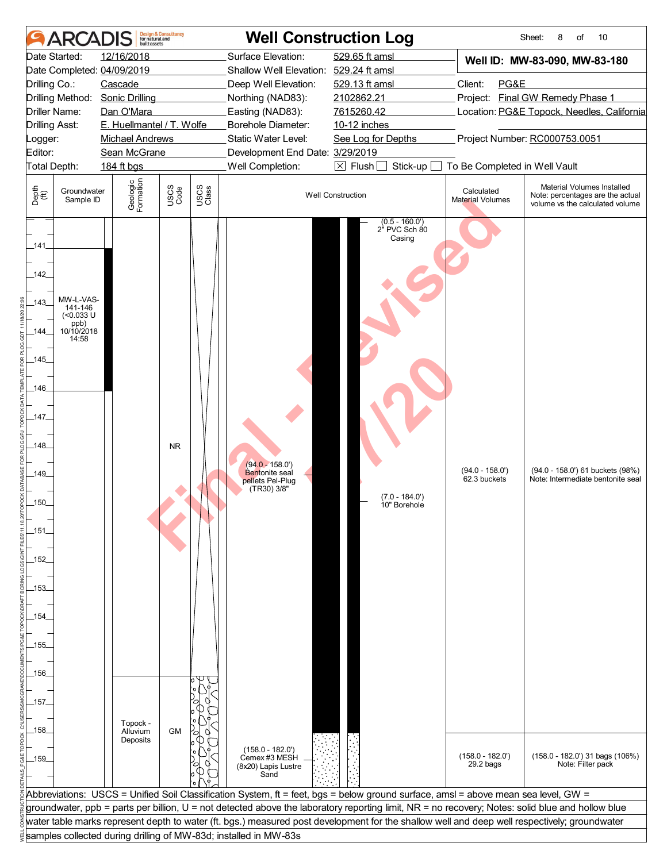|                                                                                                                                                                    | <b>ARCA</b>                                                         | <b>built</b> assets                                                                                                                                                                       | <b>Design &amp; Consultancy</b><br>for natural and |               |                                                                                                                                                                                                                                   | <b>Well Construction Log</b>                                                                                                                                                                                                                                                                     |                                                         | Sheet:<br>10<br>8<br>of                                                                                                                          |
|--------------------------------------------------------------------------------------------------------------------------------------------------------------------|---------------------------------------------------------------------|-------------------------------------------------------------------------------------------------------------------------------------------------------------------------------------------|----------------------------------------------------|---------------|-----------------------------------------------------------------------------------------------------------------------------------------------------------------------------------------------------------------------------------|--------------------------------------------------------------------------------------------------------------------------------------------------------------------------------------------------------------------------------------------------------------------------------------------------|---------------------------------------------------------|--------------------------------------------------------------------------------------------------------------------------------------------------|
| Drilling Co.:<br>Drilling Asst:<br>Logger:<br>Editor:                                                                                                              | Date Started:<br>Driller Name:<br>Total Depth:                      | 12/16/2018<br>Date Completed: 04/09/2019<br>Cascade<br>Drilling Method: Sonic Drilling<br>Dan O'Mara<br>E. Huellmantel / T. Wolfe<br><b>Michael Andrews</b><br>Sean McGrane<br>184 ft bgs |                                                    |               | Surface Elevation:<br>Shallow Well Elevation: 529.24 ft amsl<br>Deep Well Elevation:<br>Northing (NAD83):<br>Easting (NAD83):<br>Borehole Diameter:<br>Static Water Level:<br>Development End Date: 3/29/2019<br>Well Completion: | 529.65 ft amsl<br>529.13 ft amsl<br>2102862.21<br>7615260.42<br>10-12 inches<br>See Log for Depths<br>$\boxtimes$ Flush<br>Stick-up                                                                                                                                                              | Client:<br>PG&E<br>To Be Completed in Well Vault        | Well ID: MW-83-090, MW-83-180<br>Project: Final GW Remedy Phase 1<br>Location: PG&E Topock, Needles, California<br>Project Number: RC000753.0051 |
| Depth<br>(ff)                                                                                                                                                      | Groundwater<br>Sample ID                                            | Geologic<br>Formation                                                                                                                                                                     | USCS<br>Code                                       | USCS<br>Class |                                                                                                                                                                                                                                   | <b>Well Construction</b>                                                                                                                                                                                                                                                                         | Calculated<br>Material Volumes                          | Material Volumes Installed<br>Note: percentages are the actual<br>volume vs the calculated volume                                                |
| 141<br>142<br>.143<br>144.<br>$-145$<br>.146<br>_147_<br>.148.<br>$-149$<br>.150.<br>_151_<br>152<br>-153-<br>.154.<br>$-155$<br>_156_<br>_157_<br>_158_<br>$-159$ | MW-L-VAS-<br>141-146<br>$($ <0.033 U<br>ppb)<br>10/10/2018<br>14:58 | Topock -<br>Alluvium<br>Deposits                                                                                                                                                          | <b>NR</b><br><b>GM</b>                             |               | $(94.0 - 158.0')$<br>Bentonite seal<br>pellets Pel-Plug<br>(TR30) 3/8"<br>$(158.0 - 182.0')$<br>Cemex #3 MESH                                                                                                                     | $(0.5 - 160.0')$<br>2" PVC Sch 80<br>Casing<br>$(7.0 - 184.0')$<br>10" Borehole                                                                                                                                                                                                                  | $(94.0 - 158.0')$<br>62.3 buckets<br>$(158.0 - 182.0')$ | (94.0 - 158.0') 61 buckets (98%)<br>Note: Intermediate bentonite seal<br>$(158.0 - 182.0)$ 31 bags $(106\%)$                                     |
|                                                                                                                                                                    |                                                                     |                                                                                                                                                                                           |                                                    |               | (8x20) Lapis Lustre<br>Sand                                                                                                                                                                                                       |                                                                                                                                                                                                                                                                                                  | 29.2 bags                                               | Note: Filter pack                                                                                                                                |
|                                                                                                                                                                    |                                                                     |                                                                                                                                                                                           |                                                    |               |                                                                                                                                                                                                                                   | Abbreviations: USCS = Unified Soil Classification System, ft = feet, bgs = below ground surface, amsl = above mean sea level, GW =                                                                                                                                                               |                                                         |                                                                                                                                                  |
|                                                                                                                                                                    |                                                                     |                                                                                                                                                                                           |                                                    |               |                                                                                                                                                                                                                                   | groundwater, ppb = parts per billion, U = not detected above the laboratory reporting limit, NR = no recovery; Notes: solid blue and hollow blue<br>water table marks represent depth to water (ft. bgs.) measured post development for the shallow well and deep well respectively; groundwater |                                                         |                                                                                                                                                  |
|                                                                                                                                                                    |                                                                     |                                                                                                                                                                                           |                                                    |               | samples collected during drilling of MW-83d; installed in MW-83s                                                                                                                                                                  |                                                                                                                                                                                                                                                                                                  |                                                         |                                                                                                                                                  |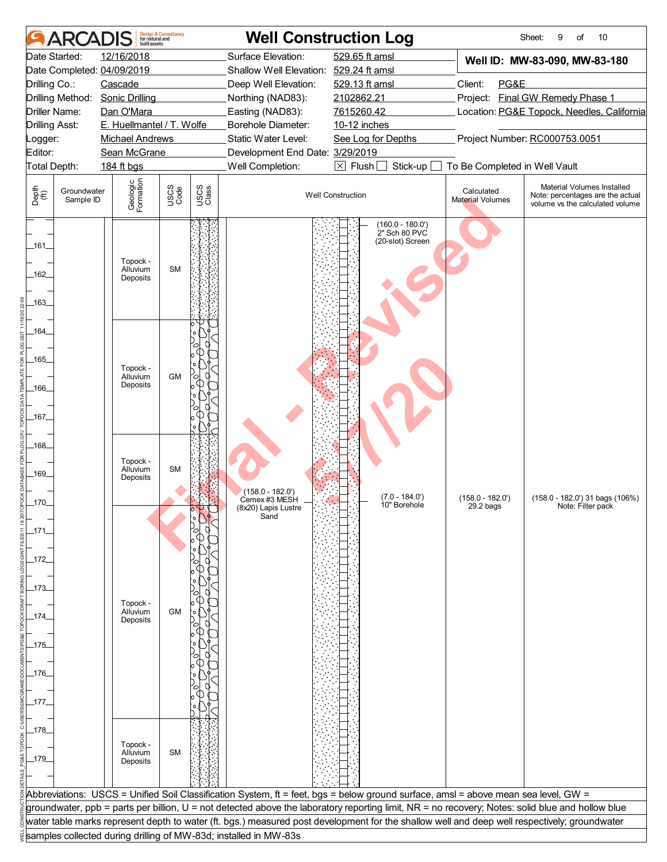|                       | ARCAI                    | huilt assets                     | <b>Design &amp; Consultancy</b><br>for natural and |               |                                                                  | <b>Well Construction Log</b>                                                                                                                     |                                | 10<br>Sheet:<br>9<br>of                                                                           |
|-----------------------|--------------------------|----------------------------------|----------------------------------------------------|---------------|------------------------------------------------------------------|--------------------------------------------------------------------------------------------------------------------------------------------------|--------------------------------|---------------------------------------------------------------------------------------------------|
|                       | Date Started:            | 12/16/2018                       |                                                    |               | Surface Elevation:                                               | 529.65 ft amsl                                                                                                                                   |                                | Well ID: MW-83-090, MW-83-180                                                                     |
|                       |                          | Date Completed: 04/09/2019       |                                                    |               | Shallow Well Elevation: 529.24 ft amsl                           |                                                                                                                                                  |                                |                                                                                                   |
| Drilling Co.:         |                          | Cascade                          |                                                    |               | Deep Well Elevation:                                             | 529.13 ft amsl                                                                                                                                   | Client:<br>PG&E                |                                                                                                   |
|                       | Drilling Method:         | <b>Sonic Drilling</b>            |                                                    |               | Northing (NAD83):                                                | 2102862.21                                                                                                                                       |                                | Project: Final GW Remedy Phase 1                                                                  |
| Driller Name:         |                          | Dan O'Mara                       |                                                    |               | Easting (NAD83):                                                 | 7615260.42                                                                                                                                       |                                | Location: PG&E Topock, Needles, California                                                        |
| <b>Drilling Asst:</b> |                          | E. Huellmantel / T. Wolfe        |                                                    |               | Borehole Diameter:                                               | 10-12 inches                                                                                                                                     |                                |                                                                                                   |
| _ogger:               |                          | <b>Michael Andrews</b>           |                                                    |               | Static Water Level:                                              | See Log for Depths                                                                                                                               |                                | Project Number: RC000753.0051                                                                     |
| Editor:               |                          | Sean McGrane                     |                                                    |               | Development End Date: 3/29/2019                                  |                                                                                                                                                  |                                |                                                                                                   |
| Total Depth:          |                          | 184 ft bgs                       |                                                    |               | Well Completion:                                                 | $\boxtimes$ Flush [<br>Stick-up                                                                                                                  | To Be Completed in Well Vault  |                                                                                                   |
| Depth<br>(ff)         | Groundwater<br>Sample ID | Geologic<br>Formation            | USCS<br>Code                                       | USCS<br>Class |                                                                  | <b>Well Construction</b>                                                                                                                         | Calculated<br>Material Volumes | Material Volumes Installed<br>Note: percentages are the actual<br>volume vs the calculated volume |
| $-161$<br>162         |                          | Topock -<br>Alluvium<br>Deposits | <b>SM</b>                                          |               |                                                                  | $(160.0 - 180.0')$<br>2" Sch 80 PVC<br>(20-slot) Screen                                                                                          |                                |                                                                                                   |
| -163<br>_164_         |                          |                                  |                                                    |               |                                                                  |                                                                                                                                                  |                                |                                                                                                   |
| $-165$                |                          | Topock -                         |                                                    |               |                                                                  |                                                                                                                                                  |                                |                                                                                                   |
| -166                  |                          | Alluvium<br>Deposits             | <b>GM</b>                                          | 70            |                                                                  |                                                                                                                                                  |                                |                                                                                                   |
| _167_<br>$-168$       |                          |                                  |                                                    |               |                                                                  |                                                                                                                                                  |                                |                                                                                                   |
| _169_                 |                          | Topock -<br>Alluvium<br>Deposits | <b>SM</b>                                          |               | $(158.0 - 182.0')$<br>Cemex #3 MESH                              | $(7.0 - 184.0')$                                                                                                                                 | $(158.0 - 182.0')$             | (158.0 - 182.0') 31 bags (106%)                                                                   |
| .170.                 |                          |                                  |                                                    |               | (8x20) Lapis Lustre<br>Sand                                      | 10" Borehole                                                                                                                                     | 29.2 bags                      | Note: Filter pack                                                                                 |
| $-171$                |                          |                                  |                                                    |               |                                                                  |                                                                                                                                                  |                                |                                                                                                   |
| _172_<br>_173_        |                          |                                  |                                                    |               |                                                                  |                                                                                                                                                  |                                |                                                                                                   |
| $-174$                |                          | Topock -<br>Alluvium<br>Deposits | <b>GM</b>                                          |               |                                                                  |                                                                                                                                                  |                                |                                                                                                   |
|                       |                          |                                  |                                                    |               |                                                                  |                                                                                                                                                  |                                |                                                                                                   |
| _175_                 |                          |                                  |                                                    |               |                                                                  |                                                                                                                                                  |                                |                                                                                                   |
| _176_                 |                          |                                  |                                                    |               |                                                                  |                                                                                                                                                  |                                |                                                                                                   |
| _177_                 |                          |                                  |                                                    |               |                                                                  |                                                                                                                                                  |                                |                                                                                                   |
| _178_                 |                          |                                  |                                                    |               |                                                                  |                                                                                                                                                  |                                |                                                                                                   |
| $-179$                |                          | Topock -<br>Alluvium<br>Deposits | <b>SM</b>                                          |               |                                                                  |                                                                                                                                                  |                                |                                                                                                   |
|                       |                          |                                  |                                                    |               |                                                                  |                                                                                                                                                  |                                |                                                                                                   |
|                       |                          |                                  |                                                    |               |                                                                  | Abbreviations: USCS = Unified Soil Classification System, ft = feet, bgs = below ground surface, amsl = above mean sea level, GW =               |                                |                                                                                                   |
|                       |                          |                                  |                                                    |               |                                                                  | groundwater, ppb = parts per billion, U = not detected above the laboratory reporting limit, NR = no recovery; Notes: solid blue and hollow blue |                                |                                                                                                   |
|                       |                          |                                  |                                                    |               |                                                                  | water table marks represent depth to water (ft. bgs.) measured post development for the shallow well and deep well respectively; groundwater     |                                |                                                                                                   |
|                       |                          |                                  |                                                    |               | samples collected during drilling of MW-83d; installed in MW-83s |                                                                                                                                                  |                                |                                                                                                   |
|                       |                          |                                  |                                                    |               |                                                                  |                                                                                                                                                  |                                |                                                                                                   |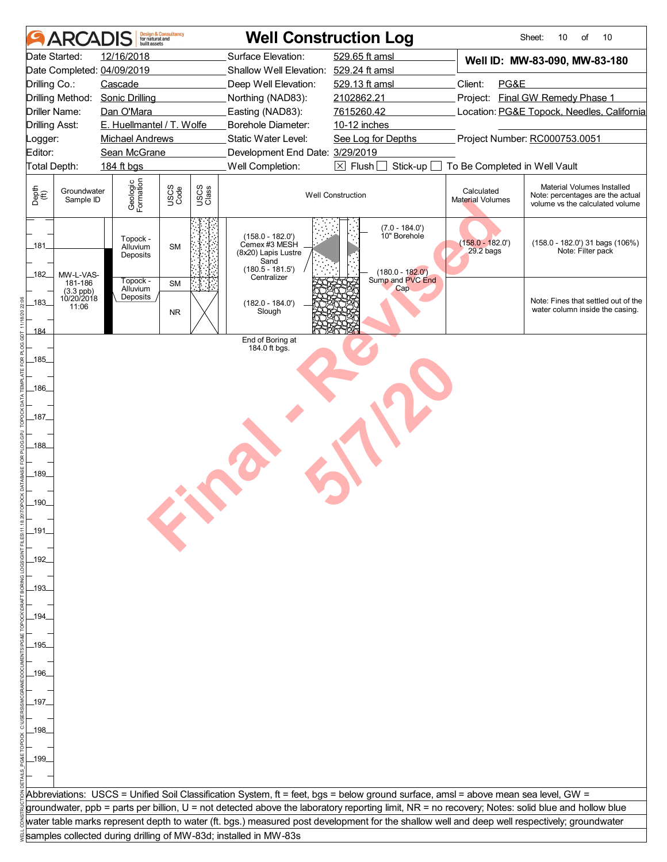|                       | <b>ARCADIS</b>                                | built assets                     | <b>Design &amp; Consultancy</b><br>for natural and |               |                                                                                                         | <b>Well Construction Log</b>                                                                                                                     |                                       | Sheet:<br>10<br>10<br>of                                                                          |  |
|-----------------------|-----------------------------------------------|----------------------------------|----------------------------------------------------|---------------|---------------------------------------------------------------------------------------------------------|--------------------------------------------------------------------------------------------------------------------------------------------------|---------------------------------------|---------------------------------------------------------------------------------------------------|--|
|                       | Date Started:                                 | 12/16/2018                       |                                                    |               | Surface Elevation:                                                                                      | 529.65 ft amsl                                                                                                                                   |                                       | Well ID: MW-83-090, MW-83-180                                                                     |  |
|                       |                                               | Date Completed: 04/09/2019       |                                                    |               | Shallow Well Elevation: 529.24 ft amsl                                                                  |                                                                                                                                                  |                                       |                                                                                                   |  |
| Drilling Co.:         |                                               | Cascade                          |                                                    |               | Deep Well Elevation:                                                                                    | 529.13 ft amsl                                                                                                                                   | Client:<br>PG&E                       |                                                                                                   |  |
|                       | Drilling Method:                              | <b>Sonic Drilling</b>            |                                                    |               | Northing (NAD83):                                                                                       | 2102862.21                                                                                                                                       |                                       | Project: Final GW Remedy Phase 1                                                                  |  |
|                       | Driller Name:                                 | Dan O'Mara                       |                                                    |               | Easting (NAD83):                                                                                        | 7615260.42                                                                                                                                       |                                       | Location: PG&E Topock, Needles, California                                                        |  |
| <b>Drilling Asst:</b> |                                               | E. Huellmantel / T. Wolfe        |                                                    |               | <b>Borehole Diameter:</b>                                                                               | 10-12 inches                                                                                                                                     |                                       |                                                                                                   |  |
| Logger:               |                                               | <b>Michael Andrews</b>           |                                                    |               | Static Water Level:                                                                                     | See Log for Depths                                                                                                                               |                                       | Project Number: RC000753.0051                                                                     |  |
| Editor:               |                                               | Sean McGrane                     |                                                    |               | Development End Date: 3/29/2019                                                                         |                                                                                                                                                  |                                       |                                                                                                   |  |
| Total Depth:          |                                               | 184 ft bgs                       |                                                    |               | Well Completion:                                                                                        | $\boxtimes$ Flush $[$<br>Stick-up                                                                                                                | To Be Completed in Well Vault         |                                                                                                   |  |
| Depth<br>(ff)         | Groundwater<br>Sample ID                      | Geologic<br>Formation            | USCS<br>Code                                       | USCS<br>Class |                                                                                                         | <b>Well Construction</b>                                                                                                                         | Calculated<br><b>Material Volumes</b> | Material Volumes Installed<br>Note: percentages are the actual<br>volume vs the calculated volume |  |
| 181<br>182            | MW-L-VAS-                                     | Topock -<br>Alluvium<br>Deposits | <b>SM</b>                                          |               | $(158.0 - 182.0')$<br>Cemex #3 MESH<br>(8x20) Lapis Lustre<br>Sand<br>$(180.5 - 181.5')$<br>Centralizer | $(7.0 - 184.0')$<br>10" Borehole<br>$(180.0 - 182.0)$                                                                                            | $(158.0 - 182.0')$<br>29.2 bags       | $(158.0 - 182.0')$ 31 bags $(106%)$<br>Note: Filter pack                                          |  |
| 183<br>184            | 181-186<br>$(3.3$ ppb)<br>10/20/2018<br>11:06 | Topock -<br>Alluvium<br>Deposits | <b>SM</b><br><b>NR</b>                             |               | $(182.0 - 184.0')$<br>Slough                                                                            | Sump and PVC End<br>Cap.                                                                                                                         |                                       | Note: Fines that settled out of the<br>water column inside the casing.                            |  |
|                       |                                               |                                  |                                                    |               | End of Boring at<br>184.0 ft bgs.                                                                       |                                                                                                                                                  |                                       |                                                                                                   |  |
| $-185$                |                                               |                                  |                                                    |               |                                                                                                         |                                                                                                                                                  |                                       |                                                                                                   |  |
|                       |                                               |                                  |                                                    |               |                                                                                                         |                                                                                                                                                  |                                       |                                                                                                   |  |
| -186                  |                                               |                                  |                                                    |               |                                                                                                         |                                                                                                                                                  |                                       |                                                                                                   |  |
|                       |                                               |                                  |                                                    |               |                                                                                                         |                                                                                                                                                  |                                       |                                                                                                   |  |
| _187_                 |                                               |                                  |                                                    |               |                                                                                                         |                                                                                                                                                  |                                       |                                                                                                   |  |
| $-188$                |                                               |                                  |                                                    |               |                                                                                                         |                                                                                                                                                  |                                       |                                                                                                   |  |
| $-189$                |                                               |                                  |                                                    |               |                                                                                                         |                                                                                                                                                  |                                       |                                                                                                   |  |
|                       |                                               |                                  |                                                    |               |                                                                                                         |                                                                                                                                                  |                                       |                                                                                                   |  |
| 190_                  |                                               |                                  |                                                    |               |                                                                                                         |                                                                                                                                                  |                                       |                                                                                                   |  |
|                       |                                               |                                  |                                                    |               |                                                                                                         |                                                                                                                                                  |                                       |                                                                                                   |  |
| $-191$                |                                               |                                  |                                                    |               |                                                                                                         |                                                                                                                                                  |                                       |                                                                                                   |  |
|                       |                                               |                                  |                                                    |               |                                                                                                         |                                                                                                                                                  |                                       |                                                                                                   |  |
| 192.                  |                                               |                                  |                                                    |               |                                                                                                         |                                                                                                                                                  |                                       |                                                                                                   |  |
|                       |                                               |                                  |                                                    |               |                                                                                                         |                                                                                                                                                  |                                       |                                                                                                   |  |
| .193.                 |                                               |                                  |                                                    |               |                                                                                                         |                                                                                                                                                  |                                       |                                                                                                   |  |
|                       |                                               |                                  |                                                    |               |                                                                                                         |                                                                                                                                                  |                                       |                                                                                                   |  |
| .194.                 |                                               |                                  |                                                    |               |                                                                                                         |                                                                                                                                                  |                                       |                                                                                                   |  |
|                       |                                               |                                  |                                                    |               |                                                                                                         |                                                                                                                                                  |                                       |                                                                                                   |  |
| _195_                 |                                               |                                  |                                                    |               |                                                                                                         |                                                                                                                                                  |                                       |                                                                                                   |  |
|                       |                                               |                                  |                                                    |               |                                                                                                         |                                                                                                                                                  |                                       |                                                                                                   |  |
| .196.                 |                                               |                                  |                                                    |               |                                                                                                         |                                                                                                                                                  |                                       |                                                                                                   |  |
|                       |                                               |                                  |                                                    |               |                                                                                                         |                                                                                                                                                  |                                       |                                                                                                   |  |
| _197.                 |                                               |                                  |                                                    |               |                                                                                                         |                                                                                                                                                  |                                       |                                                                                                   |  |
|                       |                                               |                                  |                                                    |               |                                                                                                         |                                                                                                                                                  |                                       |                                                                                                   |  |
| _198_                 |                                               |                                  |                                                    |               |                                                                                                         |                                                                                                                                                  |                                       |                                                                                                   |  |
|                       |                                               |                                  |                                                    |               |                                                                                                         |                                                                                                                                                  |                                       |                                                                                                   |  |
|                       |                                               |                                  |                                                    |               |                                                                                                         |                                                                                                                                                  |                                       |                                                                                                   |  |
| _199_                 |                                               |                                  |                                                    |               |                                                                                                         |                                                                                                                                                  |                                       |                                                                                                   |  |
|                       |                                               |                                  |                                                    |               |                                                                                                         |                                                                                                                                                  |                                       |                                                                                                   |  |
|                       |                                               |                                  |                                                    |               |                                                                                                         | Abbreviations: USCS = Unified Soil Classification System, ft = feet, bgs = below ground surface, amsl = above mean sea level, GW =               |                                       |                                                                                                   |  |
|                       |                                               |                                  |                                                    |               |                                                                                                         | groundwater, ppb = parts per billion, U = not detected above the laboratory reporting limit, NR = no recovery; Notes: solid blue and hollow blue |                                       |                                                                                                   |  |
|                       |                                               |                                  |                                                    |               |                                                                                                         | water table marks represent depth to water (ft. bgs.) measured post development for the shallow well and deep well respectively; groundwater     |                                       |                                                                                                   |  |
|                       |                                               |                                  |                                                    |               | samples collected during drilling of MW-83d; installed in MW-83s                                        |                                                                                                                                                  |                                       |                                                                                                   |  |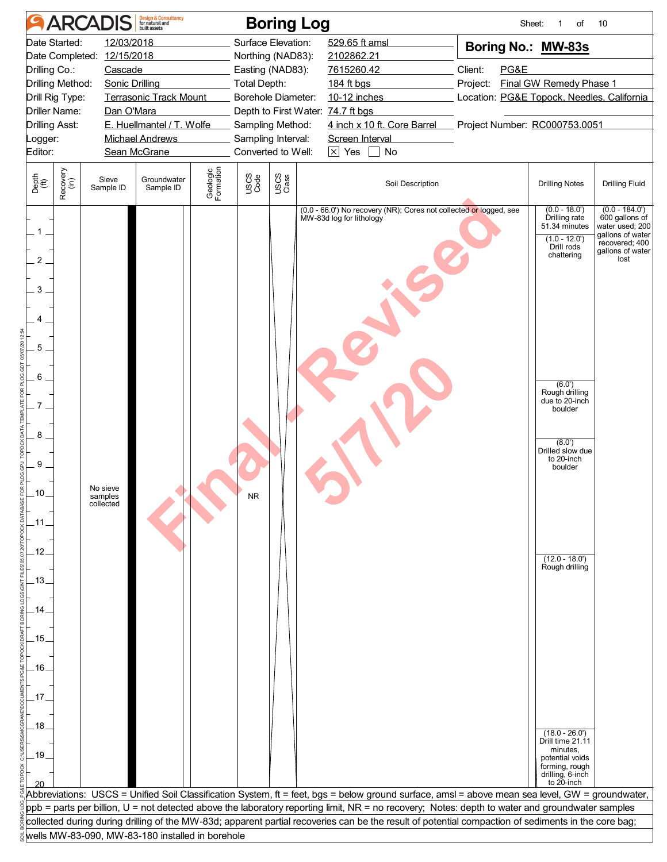|                                                                                                                                        |                                                                                                                                                                                                                                                                                                                                                     | <b>ARCADIS</b>                   | <b>Design &amp; Consultancy</b><br>for natural and |                       |                                                                                                                                                                                                                                                                                                                                               | <b>Boring Log</b> |                                                                                                                                                                                                                                                   |                                                                                                                                                                                                | Sheet:<br>of<br>1                                                                                                                                                                                                                                                                                                                                                              | 10                                                                                                                      |
|----------------------------------------------------------------------------------------------------------------------------------------|-----------------------------------------------------------------------------------------------------------------------------------------------------------------------------------------------------------------------------------------------------------------------------------------------------------------------------------------------------|----------------------------------|----------------------------------------------------|-----------------------|-----------------------------------------------------------------------------------------------------------------------------------------------------------------------------------------------------------------------------------------------------------------------------------------------------------------------------------------------|-------------------|---------------------------------------------------------------------------------------------------------------------------------------------------------------------------------------------------------------------------------------------------|------------------------------------------------------------------------------------------------------------------------------------------------------------------------------------------------|--------------------------------------------------------------------------------------------------------------------------------------------------------------------------------------------------------------------------------------------------------------------------------------------------------------------------------------------------------------------------------|-------------------------------------------------------------------------------------------------------------------------|
| Date Started:<br>Editor:                                                                                                               | Date Completed: 12/15/2018<br>Drilling Co.:<br>Cascade<br>Drilling Method:<br>Sonic Drilling<br><b>Terrasonic Track Mount</b><br>Drill Rig Type:<br><b>Driller Name:</b><br>Dan O'Mara<br>E. Huellmantel / T. Wolfe<br><b>Drilling Asst:</b><br><b>Michael Andrews</b><br>Logger:<br>Sean McGrane<br>Groundwater<br>Sieve<br>Sample ID<br>Sample ID |                                  |                                                    |                       | Surface Elevation:<br>529.65 ft amsl<br>Northing (NAD83):<br>2102862.21<br>Easting (NAD83):<br>7615260.42<br><b>Total Depth:</b><br>184 ft bgs<br>Borehole Diameter:<br>10-12 inches<br>Depth to First Water: 74.7 ft bgs<br>Sampling Method:<br>Sampling Interval:<br>Screen Interval<br>Converted to Well:<br>$\overline{\times}$ Yes<br>No |                   |                                                                                                                                                                                                                                                   | Boring No.: MW-83s<br>Client:<br>PG&E<br><b>Final GW Remedy Phase 1</b><br>Project:<br>Location: PG&E Topock, Needles, California<br>4 inch x 10 ft. Core Barrel Project Number: RC000753.0051 |                                                                                                                                                                                                                                                                                                                                                                                |                                                                                                                         |
| Depth<br>(ft)                                                                                                                          | Recovery<br>(in)                                                                                                                                                                                                                                                                                                                                    |                                  |                                                    | Geologic<br>Formation | USCS<br>Code                                                                                                                                                                                                                                                                                                                                  | USCS<br>Class     | Soil Description                                                                                                                                                                                                                                  |                                                                                                                                                                                                | <b>Drilling Notes</b>                                                                                                                                                                                                                                                                                                                                                          | <b>Drilling Fluid</b>                                                                                                   |
| $\mathbf 1$ .<br>$\overline{2}$<br>3<br>4<br>5<br>6<br>8<br>9<br>10<br>.11.<br>$-12$<br>$-13$<br>.15<br>$-16$<br>.17<br>$-18$<br>$-19$ |                                                                                                                                                                                                                                                                                                                                                     | No sieve<br>samples<br>collected |                                                    |                       |                                                                                                                                                                                                                                                                                                                                               |                   | (0.0 - 66.0') No recovery (NR); Cores not collected or logged, see<br>MW-83d log for lithology<br>Abbreviations: USCS = Unified Soil Classification System, ft = feet, bgs = below ground surface, amsl = above mean sea level, GW = groundwater, |                                                                                                                                                                                                | $(0.0 - 18.0)$<br>Drilling rate<br>51.34 minutes<br>$(1.0 - 12.0)$<br>Drill rods<br>chattering<br>(6.0')<br>Rough drilling<br>due to 20-inch<br>boulder<br>(8.0')<br>Drilled slow due<br>to 20-inch<br>boulder<br>$(12.0 - 18.0)$<br>Rough drilling<br>$(18.0 - 26.0')$<br>Drill time 21.11<br>minutes,<br>potential voids<br>forming, rough<br>drilling, 6-inch<br>to 20-inch | $(0.0 - 184.0')$<br>600 gallons of<br>water used; 200<br>gallons of water<br>recovered; 400<br>gallons of water<br>lost |
|                                                                                                                                        |                                                                                                                                                                                                                                                                                                                                                     |                                  |                                                    |                       |                                                                                                                                                                                                                                                                                                                                               |                   | ppb = parts per billion, U = not detected above the laboratory reporting limit, NR = no recovery; Notes: depth to water and groundwater samples                                                                                                   |                                                                                                                                                                                                |                                                                                                                                                                                                                                                                                                                                                                                |                                                                                                                         |
|                                                                                                                                        |                                                                                                                                                                                                                                                                                                                                                     |                                  |                                                    |                       |                                                                                                                                                                                                                                                                                                                                               |                   | collected during during drilling of the MW-83d; apparent partial recoveries can be the result of potential compaction of sediments in the core bag;                                                                                               |                                                                                                                                                                                                |                                                                                                                                                                                                                                                                                                                                                                                |                                                                                                                         |
|                                                                                                                                        |                                                                                                                                                                                                                                                                                                                                                     |                                  | wells MW-83-090, MW-83-180 installed in borehole   |                       |                                                                                                                                                                                                                                                                                                                                               |                   |                                                                                                                                                                                                                                                   |                                                                                                                                                                                                |                                                                                                                                                                                                                                                                                                                                                                                |                                                                                                                         |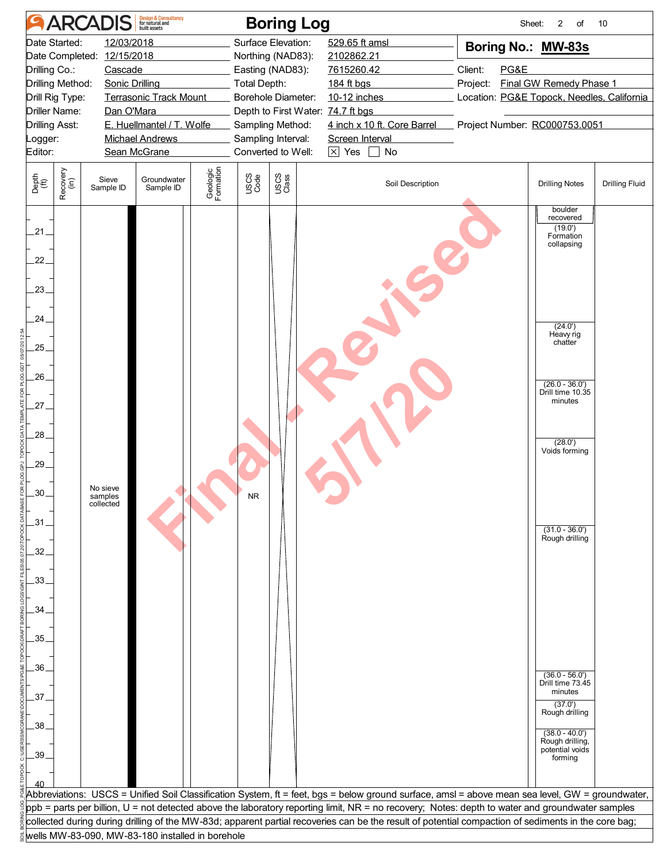|                                             | <b>ARCADIS</b>                                      | <b>Design &amp; Consultancy</b><br>for natural and                  |                       |                     | <b>Boring Log</b>                                            |                                                                                                                                                         |                                                        | Sheet:<br>2<br>of                               | 10                    |
|---------------------------------------------|-----------------------------------------------------|---------------------------------------------------------------------|-----------------------|---------------------|--------------------------------------------------------------|---------------------------------------------------------------------------------------------------------------------------------------------------------|--------------------------------------------------------|-------------------------------------------------|-----------------------|
| Date Started:<br>Drilling Co.:              | 12/03/2018<br>Date Completed: 12/15/2018<br>Cascade |                                                                     |                       |                     | Surface Elevation:<br>Northing (NAD83):<br>Easting (NAD83):  | 529.65 ft amsl<br>2102862.21<br>7615260.42                                                                                                              | Client:<br>PG&E                                        | Boring No.: MW-83s                              |                       |
| Drilling Method:<br>Drill Rig Type:         | <b>Sonic Drilling</b>                               | <b>Terrasonic Track Mount</b>                                       |                       | <b>Total Depth:</b> | Borehole Diameter:                                           | 184 ft bgs<br>10-12 inches                                                                                                                              | Project:<br>Location: PG&E Topock, Needles, California | Final GW Remedy Phase 1                         |                       |
| <b>Driller Name:</b>                        | Dan O'Mara                                          |                                                                     |                       |                     | Depth to First Water: 74.7 ft bgs                            |                                                                                                                                                         |                                                        |                                                 |                       |
| <b>Drilling Asst:</b><br>Logger:<br>Editor: |                                                     | E. Huellmantel / T. Wolfe<br><b>Michael Andrews</b><br>Sean McGrane |                       |                     | Sampling Method:<br>Sampling Interval:<br>Converted to Well: | 4 inch x 10 ft. Core Barrel<br>Screen Interval<br>$\boxed{\times}$ Yes $\boxed{\phantom{1}}$ No                                                         | Project Number: RC000753.0051                          |                                                 |                       |
| Recovery<br>(in)<br>Depth<br>(ft)           | Sieve<br>Sample ID                                  | Groundwater<br>Sample ID                                            | Geologic<br>Formation | USCS<br>Code        | USCS<br>Class                                                | Soil Description                                                                                                                                        |                                                        | <b>Drilling Notes</b>                           | <b>Drilling Fluid</b> |
|                                             |                                                     |                                                                     |                       |                     |                                                              |                                                                                                                                                         |                                                        | boulder<br>recovered                            |                       |
| .21.                                        |                                                     |                                                                     |                       |                     |                                                              |                                                                                                                                                         |                                                        | (19.0)<br>Formation<br>collapsing               |                       |
| 22.<br>$23_{-}$                             |                                                     |                                                                     |                       |                     |                                                              |                                                                                                                                                         |                                                        |                                                 |                       |
| $24_{-}$                                    |                                                     |                                                                     |                       |                     |                                                              |                                                                                                                                                         |                                                        | (24.0')<br>Heavy rig<br>chatter                 |                       |
| 25.<br>26                                   |                                                     |                                                                     |                       |                     |                                                              |                                                                                                                                                         |                                                        |                                                 |                       |
| $27 -$                                      |                                                     |                                                                     |                       |                     |                                                              |                                                                                                                                                         |                                                        | $(26.0 - 36.0')$<br>Drill time 10.35<br>minutes |                       |
| $.28-$                                      |                                                     |                                                                     |                       |                     |                                                              |                                                                                                                                                         |                                                        | (28.0')<br>Voids forming                        |                       |
| 29.                                         |                                                     |                                                                     |                       |                     |                                                              |                                                                                                                                                         |                                                        |                                                 |                       |
| 30<br>$-31$                                 | No sieve<br>samples<br>collected                    |                                                                     |                       |                     |                                                              |                                                                                                                                                         |                                                        |                                                 |                       |
| 32.                                         |                                                     |                                                                     |                       |                     |                                                              |                                                                                                                                                         |                                                        | $(31.0 - 36.0')$<br>Rough drilling              |                       |
| .33.                                        |                                                     |                                                                     |                       |                     |                                                              |                                                                                                                                                         |                                                        |                                                 |                       |
| 34                                          |                                                     |                                                                     |                       |                     |                                                              |                                                                                                                                                         |                                                        |                                                 |                       |
| .35.                                        |                                                     |                                                                     |                       |                     |                                                              |                                                                                                                                                         |                                                        |                                                 |                       |
| .36.<br>37 <sub>1</sub>                     |                                                     |                                                                     |                       |                     |                                                              |                                                                                                                                                         |                                                        | $(36.0 - 56.0')$<br>Drill time 73.45<br>minutes |                       |
| $.38-$                                      |                                                     |                                                                     |                       |                     |                                                              |                                                                                                                                                         |                                                        | (37.0')<br>Rough drilling<br>$(38.0 - 40.0')$   |                       |
| .39.                                        |                                                     |                                                                     |                       |                     |                                                              |                                                                                                                                                         |                                                        | Rough drilling,<br>potential voids<br>forming   |                       |
|                                             |                                                     |                                                                     |                       |                     |                                                              | Abbreviations:  USCS = Unified Soil Classification System, ft = feet, bgs = below ground surface, amsl = above mean sea level, GW = groundwater,        |                                                        |                                                 |                       |
|                                             |                                                     |                                                                     |                       |                     |                                                              | ${\sf ppb}$ = parts per billion, U = not detected above the laboratory reporting limit, NR = no recovery; Notes: depth to water and groundwater samples |                                                        |                                                 |                       |
|                                             |                                                     |                                                                     |                       |                     |                                                              | collected during during drilling of the MW-83d; apparent partial recoveries can be the result of potential compaction of sediments in the core bag;     |                                                        |                                                 |                       |
|                                             | wells MW-83-090, MW-83-180 installed in borehole    |                                                                     |                       |                     |                                                              |                                                                                                                                                         |                                                        |                                                 |                       |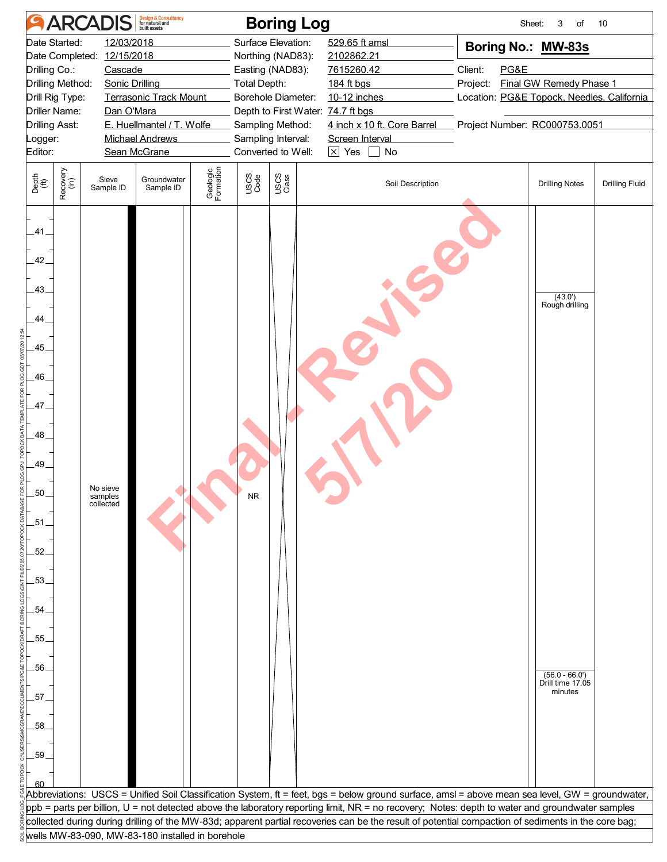| <b>Design &amp; Consultancy</b><br>for natural and<br><b>ARCADIS</b>                                                                                                                                                                                                        | <b>Boring Log</b>                                                                                                                                                 |                                                                                                         | Sheet:<br>3<br>of<br>10                                                                                                                                                                                                            |
|-----------------------------------------------------------------------------------------------------------------------------------------------------------------------------------------------------------------------------------------------------------------------------|-------------------------------------------------------------------------------------------------------------------------------------------------------------------|---------------------------------------------------------------------------------------------------------|------------------------------------------------------------------------------------------------------------------------------------------------------------------------------------------------------------------------------------|
| Date Started:<br>12/03/2018<br>Date Completed: 12/15/2018<br>Drilling Co.:<br>Cascade<br>Drilling Method:<br><b>Sonic Drilling</b><br>Drill Rig Type:<br><b>Terrasonic Track Mount</b><br>Dan O'Mara<br><b>Driller Name:</b><br>E. Huellmantel / T. Wolfe<br>Drilling Asst: | Surface Elevation:<br>Northing (NAD83):<br>Easting (NAD83):<br><b>Total Depth:</b><br>Borehole Diameter:<br>Depth to First Water: 74.7 ft bgs<br>Sampling Method: | 529.65 ft amsl<br>2102862.21<br>7615260.42<br>184 ft bgs<br>10-12 inches<br>4 inch x 10 ft. Core Barrel | Boring No.: MW-83s<br>Client:<br>PG&E<br><b>Final GW Remedy Phase 1</b><br>Project:<br>Location: PG&E Topock, Needles, California<br>Project Number: RC000753.0051                                                                 |
| <b>Michael Andrews</b><br>Logger:<br>Sean McGrane<br>Editor:                                                                                                                                                                                                                | Sampling Interval:<br>Converted to Well:                                                                                                                          | Screen Interval<br>$\times$ Yes<br>$\Box$ No                                                            |                                                                                                                                                                                                                                    |
| Recovery<br>(in)<br>Depth<br>(ft)<br>Groundwater<br>Sieve<br>Sample ID<br>Sample ID                                                                                                                                                                                         | Geologic<br>Formation<br>USCS<br>Code<br>USCS<br>Class                                                                                                            | Soil Description                                                                                        | <b>Drilling Notes</b><br><b>Drilling Fluid</b>                                                                                                                                                                                     |
| $-41$<br>.42.<br>.43<br>.44<br>45.<br>.46.<br>47<br>.48.<br>.49.<br>No sieve<br>50<br>samples<br>collected<br>$-51$<br>.52.<br>.53.<br>.54<br>55<br>.56.<br>.57.<br>.58<br>.59.                                                                                             |                                                                                                                                                                   |                                                                                                         | $(43.0')$<br>Rough drilling<br>$(56.0 - 66.0')$<br>Drill time 17.05<br>minutes<br>Abbreviations:  USCS = Unified Soil Classification System, ft = feet, bgs = below ground surface, amsl = above mean sea level, GW = groundwater, |
|                                                                                                                                                                                                                                                                             |                                                                                                                                                                   |                                                                                                         | ${\sf ppb}$ = parts per billion, U = not detected above the laboratory reporting limit, NR = no recovery; Notes: depth to water and groundwater samples                                                                            |
| wells MW-83-090, MW-83-180 installed in borehole                                                                                                                                                                                                                            |                                                                                                                                                                   |                                                                                                         | collected during during drilling of the MW-83d; apparent partial recoveries can be the result of potential compaction of sediments in the core bag;                                                                                |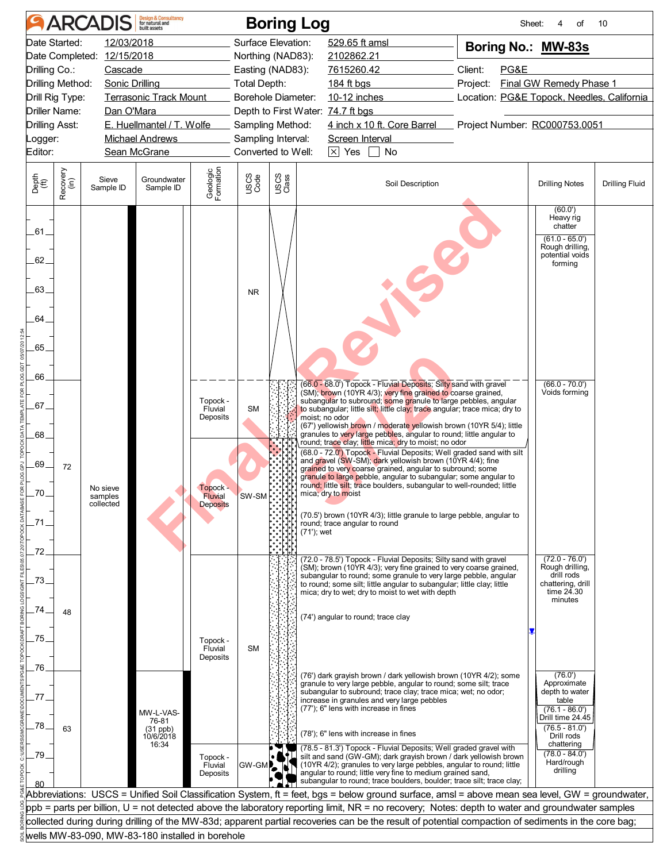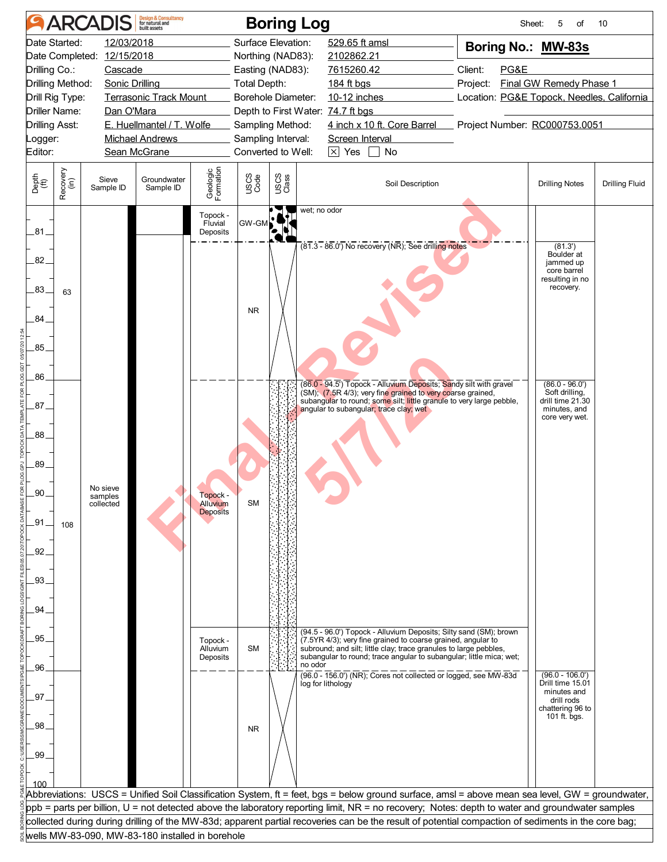| 12/03/2018<br>Surface Elevation:<br>529.65 ft amsl<br>Date Started:<br>Boring No.: MW-83s<br>Date Completed: 12/15/2018<br>Northing (NAD83):<br>2102862.21<br>Drilling Co.:<br>7615260.42<br>Client:<br>PG&E<br>Cascade<br>Easting (NAD83):<br><b>Final GW Remedy Phase 1</b><br>Drilling Method:<br>Sonic Drilling<br>Total Depth:<br>184 ft bgs<br>Project:<br>Drill Rig Type:<br><b>Terrasonic Track Mount</b><br>Borehole Diameter:<br>10-12 inches<br>Location: PG&E Topock, Needles, California<br><b>Driller Name:</b><br>Dan O'Mara<br>Depth to First Water: 74.7 ft bgs<br>E. Huellmantel / T. Wolfe<br>4 inch x 10 ft. Core Barrel Project Number: RC000753.0051<br><b>Drilling Asst:</b><br>Sampling Method:<br>Sampling Interval:<br><b>Michael Andrews</b><br>Screen Interval<br>Logger:<br>$\boxed{\times}$ Yes $\boxed{\phantom{1}}$ No<br>Sean McGrane<br>Converted to Well:<br>Geologic<br>Formation<br>Recovery<br>(in)<br>USCS<br>Code<br>USCS<br>Class<br>Groundwater<br>Sieve<br>Soil Description<br><b>Drilling Notes</b><br><b>Drilling Fluid</b><br>Sample ID<br>Sample ID<br>wet; no odor<br>Topock -<br>GW-GM<br>Fluvial<br>Deposits<br>$(81.3 - 86.0)$ No recovery (NR); See drilling notes<br>(81.3')<br>Boulder at<br>jammed up<br>core barrel<br>resulting in no<br>recovery.<br>63<br><b>NR</b><br>(86.0 - 94.5') Topock - Alluvium Deposits; Sandy silt with gravel<br>$(86.0 - 96.0')$<br>Soft drilling,<br>(SM); (7.5R 4/3); very fine grained to very coarse grained,<br>drill time 21.30<br>subangular to round; some silt; little granule to very large pebble,<br>angular to subangular; trace clay; wet<br>minutes, and<br>core very wet.<br>No sieve<br><b>Topock</b><br>samples<br><b>SM</b><br>Alluvium<br>collected<br><b>Deposits</b><br>108<br>(94.5 - 96.0') Topock - Alluvium Deposits; Silty sand (SM); brown<br>(7.5YR 4/3); very fine grained to coarse grained, angular to<br>Topock -<br>subround; and silt; little clay; trace granules to large pebbles,<br><b>SM</b><br>Alluvium<br>subangular to round; trace angular to subangular; little mica; wet;<br>Deposits<br>no odor<br>(96.0 - 156.0') (NR); Cores not collected or logged, see MW-83d<br>$(96.0 - 106.0')$<br>Drill time 15.01<br>log for lithology<br>minutes and<br>drill rods<br>chattering 96 to<br>101 ft. bgs.<br><b>NR</b><br>Abbreviations:  USCS = Unified Soil Classification System, ft = feet, bgs = below ground surface, amsl = above mean sea level, GW = groundwater,<br>ppb = parts per billion, U = not detected above the laboratory reporting limit, NR = no recovery; Notes: depth to water and groundwater samples<br>collected during during drilling of the MW-83d; apparent partial recoveries can be the result of potential compaction of sediments in the core bag;<br>wells MW-83-090, MW-83-180 installed in borehole |                                           | <b>ARCADIS</b> | <b>Design &amp; Consultancy</b><br>for natural and |  | <b>Boring Log</b> |  | Sheet:<br>5<br>οf | 10 |
|------------------------------------------------------------------------------------------------------------------------------------------------------------------------------------------------------------------------------------------------------------------------------------------------------------------------------------------------------------------------------------------------------------------------------------------------------------------------------------------------------------------------------------------------------------------------------------------------------------------------------------------------------------------------------------------------------------------------------------------------------------------------------------------------------------------------------------------------------------------------------------------------------------------------------------------------------------------------------------------------------------------------------------------------------------------------------------------------------------------------------------------------------------------------------------------------------------------------------------------------------------------------------------------------------------------------------------------------------------------------------------------------------------------------------------------------------------------------------------------------------------------------------------------------------------------------------------------------------------------------------------------------------------------------------------------------------------------------------------------------------------------------------------------------------------------------------------------------------------------------------------------------------------------------------------------------------------------------------------------------------------------------------------------------------------------------------------------------------------------------------------------------------------------------------------------------------------------------------------------------------------------------------------------------------------------------------------------------------------------------------------------------------------------------------------------------------------------------------------------------------------------------------------------------------------------------------------------------------------------------------------------------------------------------------------------------------------------------------------------------------------------------------------------------------------------------------------------------------------------------|-------------------------------------------|----------------|----------------------------------------------------|--|-------------------|--|-------------------|----|
|                                                                                                                                                                                                                                                                                                                                                                                                                                                                                                                                                                                                                                                                                                                                                                                                                                                                                                                                                                                                                                                                                                                                                                                                                                                                                                                                                                                                                                                                                                                                                                                                                                                                                                                                                                                                                                                                                                                                                                                                                                                                                                                                                                                                                                                                                                                                                                                                                                                                                                                                                                                                                                                                                                                                                                                                                                                                        |                                           |                |                                                    |  |                   |  |                   |    |
|                                                                                                                                                                                                                                                                                                                                                                                                                                                                                                                                                                                                                                                                                                                                                                                                                                                                                                                                                                                                                                                                                                                                                                                                                                                                                                                                                                                                                                                                                                                                                                                                                                                                                                                                                                                                                                                                                                                                                                                                                                                                                                                                                                                                                                                                                                                                                                                                                                                                                                                                                                                                                                                                                                                                                                                                                                                                        |                                           |                |                                                    |  |                   |  |                   |    |
|                                                                                                                                                                                                                                                                                                                                                                                                                                                                                                                                                                                                                                                                                                                                                                                                                                                                                                                                                                                                                                                                                                                                                                                                                                                                                                                                                                                                                                                                                                                                                                                                                                                                                                                                                                                                                                                                                                                                                                                                                                                                                                                                                                                                                                                                                                                                                                                                                                                                                                                                                                                                                                                                                                                                                                                                                                                                        | Editor:                                   |                |                                                    |  |                   |  |                   |    |
|                                                                                                                                                                                                                                                                                                                                                                                                                                                                                                                                                                                                                                                                                                                                                                                                                                                                                                                                                                                                                                                                                                                                                                                                                                                                                                                                                                                                                                                                                                                                                                                                                                                                                                                                                                                                                                                                                                                                                                                                                                                                                                                                                                                                                                                                                                                                                                                                                                                                                                                                                                                                                                                                                                                                                                                                                                                                        | Depth<br>(ft)                             |                |                                                    |  |                   |  |                   |    |
|                                                                                                                                                                                                                                                                                                                                                                                                                                                                                                                                                                                                                                                                                                                                                                                                                                                                                                                                                                                                                                                                                                                                                                                                                                                                                                                                                                                                                                                                                                                                                                                                                                                                                                                                                                                                                                                                                                                                                                                                                                                                                                                                                                                                                                                                                                                                                                                                                                                                                                                                                                                                                                                                                                                                                                                                                                                                        | .81.                                      |                |                                                    |  |                   |  |                   |    |
|                                                                                                                                                                                                                                                                                                                                                                                                                                                                                                                                                                                                                                                                                                                                                                                                                                                                                                                                                                                                                                                                                                                                                                                                                                                                                                                                                                                                                                                                                                                                                                                                                                                                                                                                                                                                                                                                                                                                                                                                                                                                                                                                                                                                                                                                                                                                                                                                                                                                                                                                                                                                                                                                                                                                                                                                                                                                        | $.82 -$<br>$83_{-}$<br>84<br>.85.         |                |                                                    |  |                   |  |                   |    |
|                                                                                                                                                                                                                                                                                                                                                                                                                                                                                                                                                                                                                                                                                                                                                                                                                                                                                                                                                                                                                                                                                                                                                                                                                                                                                                                                                                                                                                                                                                                                                                                                                                                                                                                                                                                                                                                                                                                                                                                                                                                                                                                                                                                                                                                                                                                                                                                                                                                                                                                                                                                                                                                                                                                                                                                                                                                                        | .86                                       |                |                                                    |  |                   |  |                   |    |
|                                                                                                                                                                                                                                                                                                                                                                                                                                                                                                                                                                                                                                                                                                                                                                                                                                                                                                                                                                                                                                                                                                                                                                                                                                                                                                                                                                                                                                                                                                                                                                                                                                                                                                                                                                                                                                                                                                                                                                                                                                                                                                                                                                                                                                                                                                                                                                                                                                                                                                                                                                                                                                                                                                                                                                                                                                                                        | .87<br>.88.<br>.89.<br>90<br>.91.<br>.92. |                |                                                    |  |                   |  |                   |    |
|                                                                                                                                                                                                                                                                                                                                                                                                                                                                                                                                                                                                                                                                                                                                                                                                                                                                                                                                                                                                                                                                                                                                                                                                                                                                                                                                                                                                                                                                                                                                                                                                                                                                                                                                                                                                                                                                                                                                                                                                                                                                                                                                                                                                                                                                                                                                                                                                                                                                                                                                                                                                                                                                                                                                                                                                                                                                        | .93.<br>94<br>95                          |                |                                                    |  |                   |  |                   |    |
|                                                                                                                                                                                                                                                                                                                                                                                                                                                                                                                                                                                                                                                                                                                                                                                                                                                                                                                                                                                                                                                                                                                                                                                                                                                                                                                                                                                                                                                                                                                                                                                                                                                                                                                                                                                                                                                                                                                                                                                                                                                                                                                                                                                                                                                                                                                                                                                                                                                                                                                                                                                                                                                                                                                                                                                                                                                                        | .96<br>97                                 |                |                                                    |  |                   |  |                   |    |
|                                                                                                                                                                                                                                                                                                                                                                                                                                                                                                                                                                                                                                                                                                                                                                                                                                                                                                                                                                                                                                                                                                                                                                                                                                                                                                                                                                                                                                                                                                                                                                                                                                                                                                                                                                                                                                                                                                                                                                                                                                                                                                                                                                                                                                                                                                                                                                                                                                                                                                                                                                                                                                                                                                                                                                                                                                                                        | .98<br>.99                                |                |                                                    |  |                   |  |                   |    |
|                                                                                                                                                                                                                                                                                                                                                                                                                                                                                                                                                                                                                                                                                                                                                                                                                                                                                                                                                                                                                                                                                                                                                                                                                                                                                                                                                                                                                                                                                                                                                                                                                                                                                                                                                                                                                                                                                                                                                                                                                                                                                                                                                                                                                                                                                                                                                                                                                                                                                                                                                                                                                                                                                                                                                                                                                                                                        | 100                                       |                |                                                    |  |                   |  |                   |    |
|                                                                                                                                                                                                                                                                                                                                                                                                                                                                                                                                                                                                                                                                                                                                                                                                                                                                                                                                                                                                                                                                                                                                                                                                                                                                                                                                                                                                                                                                                                                                                                                                                                                                                                                                                                                                                                                                                                                                                                                                                                                                                                                                                                                                                                                                                                                                                                                                                                                                                                                                                                                                                                                                                                                                                                                                                                                                        |                                           |                |                                                    |  |                   |  |                   |    |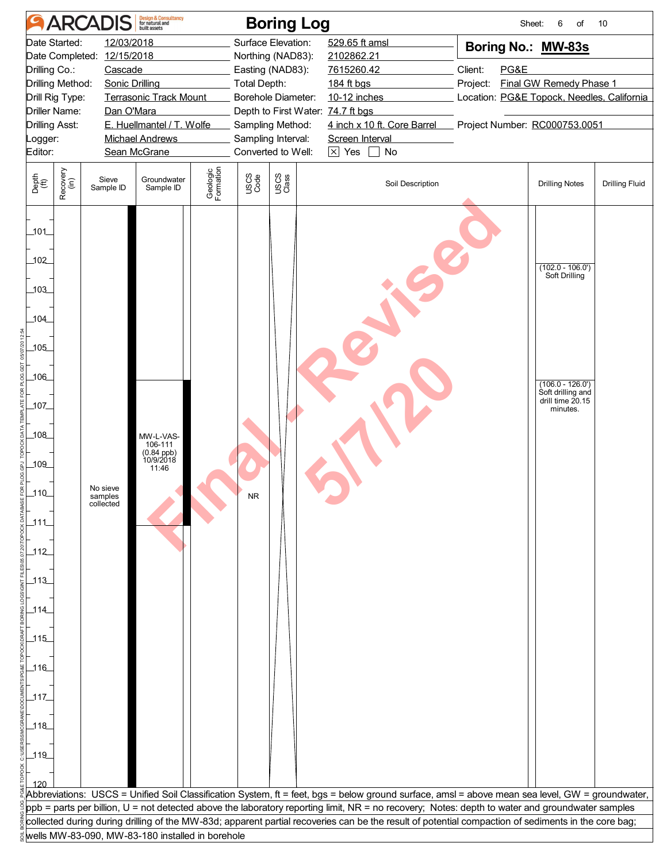| <b>ARCADIS</b>                                                                                                                                                                        | <b>Design &amp; Consultancy</b><br>for natural and                                                                                                 | <b>Boring Log</b>                                                                                                                                                                                             |                                                                                                                                                                                                                                                                                                                                                                                                                                                           | Sheet:                                                                                                                                                      | 6<br>of                                                                                                       | 10                    |
|---------------------------------------------------------------------------------------------------------------------------------------------------------------------------------------|----------------------------------------------------------------------------------------------------------------------------------------------------|---------------------------------------------------------------------------------------------------------------------------------------------------------------------------------------------------------------|-----------------------------------------------------------------------------------------------------------------------------------------------------------------------------------------------------------------------------------------------------------------------------------------------------------------------------------------------------------------------------------------------------------------------------------------------------------|-------------------------------------------------------------------------------------------------------------------------------------------------------------|---------------------------------------------------------------------------------------------------------------|-----------------------|
| Date Started:<br>Date Completed: 12/15/2018<br>Drilling Co.:<br>Cascade<br>Drilling Method:<br>Drill Rig Type:<br><b>Driller Name:</b><br><b>Drilling Asst:</b><br>Logger:<br>Editor: | 12/03/2018<br>Sonic Drilling<br><b>Terrasonic Track Mount</b><br>Dan O'Mara<br>E. Huellmantel / T. Wolfe<br><b>Michael Andrews</b><br>Sean McGrane | Surface Elevation:<br>Northing (NAD83):<br>Easting (NAD83):<br><b>Total Depth:</b><br>Borehole Diameter:<br>Depth to First Water: 74.7 ft bgs<br>Sampling Method:<br>Sampling Interval:<br>Converted to Well: | 529.65 ft amsl<br>2102862.21<br>7615260.42<br>184 ft bgs<br>10-12 inches<br>4 inch x 10 ft. Core Barrel<br>Screen Interval<br>$\boxtimes$ Yes<br>$\Box$ No                                                                                                                                                                                                                                                                                                | Boring No.: MW-83s<br>Client:<br>PG&E<br>Final GW Remedy Phase 1<br>Project:<br>Location: PG&E Topock, Needles, California<br>Project Number: RC000753.0051 |                                                                                                               |                       |
| Recovery<br>(in)<br>Depth<br>(ft)<br>Sieve<br>Sample ID                                                                                                                               | Geologic<br>Formation<br>Groundwater<br>Sample ID                                                                                                  | USCS<br>Code<br>USCS<br>Class                                                                                                                                                                                 | Soil Description                                                                                                                                                                                                                                                                                                                                                                                                                                          |                                                                                                                                                             | <b>Drilling Notes</b>                                                                                         | <b>Drilling Fluid</b> |
| $-101$<br>102<br>103<br>104<br>105<br>106<br>107                                                                                                                                      |                                                                                                                                                    |                                                                                                                                                                                                               |                                                                                                                                                                                                                                                                                                                                                                                                                                                           |                                                                                                                                                             | $(102.0 - 106.0)$<br>Soft Drilling<br>$(106.0 - 126.0')$<br>Soft drilling and<br>drill time 20.15<br>minutes. |                       |
| 108<br>109<br>No sieve<br>110<br>samples<br>collected<br>$\_111$<br>$-112$                                                                                                            | MW-L-VAS-<br>106-111<br>$(0.84$ ppb)<br>$10/9/2018$<br>11:46                                                                                       |                                                                                                                                                                                                               |                                                                                                                                                                                                                                                                                                                                                                                                                                                           |                                                                                                                                                             |                                                                                                               |                       |
| _113_<br>$114$<br>$\_115$<br>$\frac{116}{1}$                                                                                                                                          |                                                                                                                                                    |                                                                                                                                                                                                               |                                                                                                                                                                                                                                                                                                                                                                                                                                                           |                                                                                                                                                             |                                                                                                               |                       |
| 117<br>$118$<br>$-119$                                                                                                                                                                |                                                                                                                                                    |                                                                                                                                                                                                               |                                                                                                                                                                                                                                                                                                                                                                                                                                                           |                                                                                                                                                             |                                                                                                               |                       |
| 120                                                                                                                                                                                   | wells MW-83-090, MW-83-180 installed in borehole                                                                                                   |                                                                                                                                                                                                               | Abbreviations: USCS = Unified Soil Classification System, ft = feet, bgs = below ground surface, amsl = above mean sea level, GW = groundwater,<br>ppb = parts per billion, U = not detected above the laboratory reporting limit, NR = no recovery; Notes: depth to water and groundwater samples<br>collected during during drilling of the MW-83d; apparent partial recoveries can be the result of potential compaction of sediments in the core bag; |                                                                                                                                                             |                                                                                                               |                       |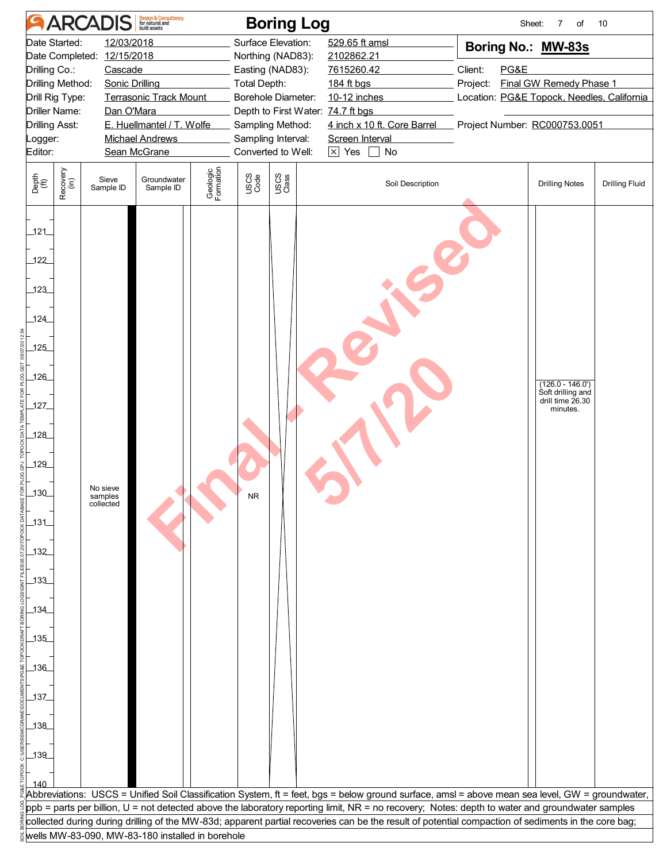|                                                                                                                                                                                                                                                                                                                                                    | <b>ARCADIS</b>                                   | <b>Design &amp; Consultancy</b><br>for natural and | <b>Boring Log</b>                                                                                                                                                        |                                                                                                                                                                                              |                                                                                                                                                             | Sheet:<br>7<br>of                                                       | 10                    |  |
|----------------------------------------------------------------------------------------------------------------------------------------------------------------------------------------------------------------------------------------------------------------------------------------------------------------------------------------------------|--------------------------------------------------|----------------------------------------------------|--------------------------------------------------------------------------------------------------------------------------------------------------------------------------|----------------------------------------------------------------------------------------------------------------------------------------------------------------------------------------------|-------------------------------------------------------------------------------------------------------------------------------------------------------------|-------------------------------------------------------------------------|-----------------------|--|
| Date Started:<br>12/03/2018<br>Date Completed: 12/15/2018<br>Drilling Co.:<br>Cascade<br>Drilling Method:<br><b>Sonic Drilling</b><br>Drill Rig Type:<br><b>Terrasonic Track Mount</b><br>Dan O'Mara<br><b>Driller Name:</b><br>E. Huellmantel / T. Wolfe<br><b>Drilling Asst:</b><br><b>Michael Andrews</b><br>Logger:<br>Sean McGrane<br>Editor: |                                                  |                                                    | Surface Elevation:<br>Northing (NAD83):<br>Easting (NAD83):<br><b>Total Depth:</b><br>Borehole Diameter:<br>Sampling Method:<br>Sampling Interval:<br>Converted to Well: | 529.65 ft amsl<br>2102862.21<br>7615260.42<br>184 ft bgs<br>10-12 inches<br>Depth to First Water: 74.7 ft bgs<br>4 inch x 10 ft. Core Barrel<br>Screen Interval<br>$\times$ Yes<br>$\Box$ No | Boring No.: MW-83s<br>Client:<br>PG&E<br>Final GW Remedy Phase 1<br>Project:<br>Location: PG&E Topock, Needles, California<br>Project Number: RC000753.0051 |                                                                         |                       |  |
| Recovery<br>(in)<br>Depth<br>(ft)                                                                                                                                                                                                                                                                                                                  | Sieve<br>Sample ID                               | Geologic<br>Formation<br>Groundwater<br>Sample ID  | USCS<br>Code<br>USCS<br>Class                                                                                                                                            | Soil Description                                                                                                                                                                             |                                                                                                                                                             | <b>Drilling Notes</b>                                                   | <b>Drilling Fluid</b> |  |
| 121<br>122<br>123<br>124<br>125<br>126<br>127<br>128<br>129<br>130<br>_131_<br>132<br>133<br>$134$<br>135<br>$136$<br>$\frac{137}{2}$<br>$138$<br>$-139$<br>140                                                                                                                                                                                    | No sieve<br>samples<br>collected                 |                                                    |                                                                                                                                                                          | Abbreviations: USCS = Unified Soil Classification System, ft = feet, bgs = below ground surface, amsl = above mean sea level, GW = groundwater,                                              |                                                                                                                                                             | $(126.0 - 146.0')$<br>Soft drilling and<br>drill time 26.30<br>minutes. |                       |  |
|                                                                                                                                                                                                                                                                                                                                                    |                                                  |                                                    |                                                                                                                                                                          | ${\sf ppb}$ = parts per billion, U = not detected above the laboratory reporting limit, NR = no recovery; Notes: depth to water and groundwater samples                                      |                                                                                                                                                             |                                                                         |                       |  |
|                                                                                                                                                                                                                                                                                                                                                    | wells MW-83-090, MW-83-180 installed in borehole |                                                    |                                                                                                                                                                          | collected during during drilling of the MW-83d; apparent partial recoveries can be the result of potential compaction of sediments in the core bag;                                          |                                                                                                                                                             |                                                                         |                       |  |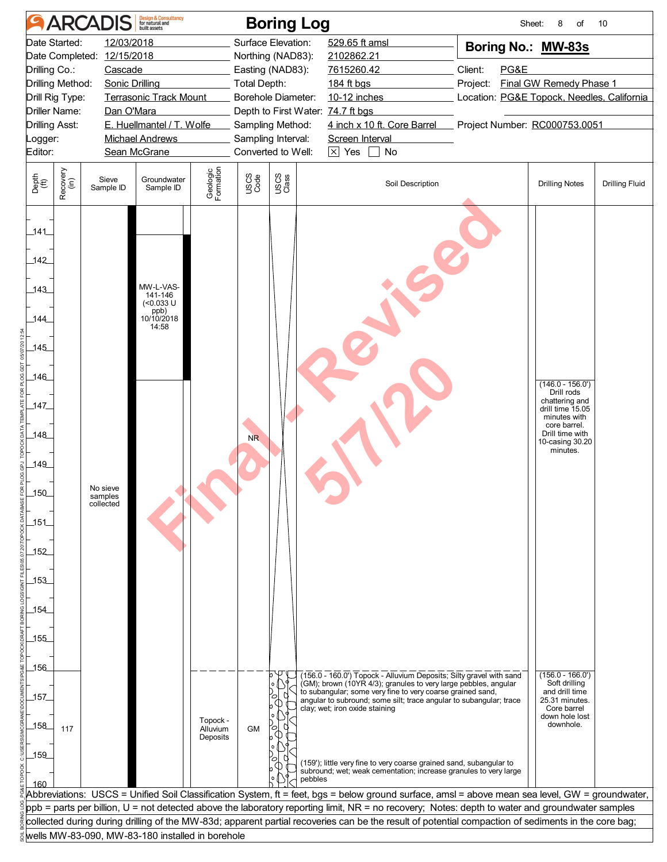|                                              |                      | <b>ARCADIS</b>                        | <b>Design &amp; Consultancy</b><br>for natural and        |                       |                     | <b>Boring Log</b>                     |                                                                                                                                                     |          | Sheet: | 8<br>of                                                          | 10                    |
|----------------------------------------------|----------------------|---------------------------------------|-----------------------------------------------------------|-----------------------|---------------------|---------------------------------------|-----------------------------------------------------------------------------------------------------------------------------------------------------|----------|--------|------------------------------------------------------------------|-----------------------|
|                                              | Date Started:        | 12/03/2018                            |                                                           |                       |                     | Surface Elevation:                    | 529.65 ft amsl                                                                                                                                      |          |        | Boring No.: MW-83s                                               |                       |
| Drilling Co.:                                |                      | Date Completed: 12/15/2018<br>Cascade |                                                           |                       |                     | Northing (NAD83):<br>Easting (NAD83): | 2102862.21<br>7615260.42                                                                                                                            | Client:  | PG&E   |                                                                  |                       |
|                                              | Drilling Method:     | Sonic Drilling                        |                                                           |                       | <b>Total Depth:</b> |                                       | 184 ft bgs                                                                                                                                          | Project: |        | <b>Final GW Remedy Phase 1</b>                                   |                       |
|                                              | Drill Rig Type:      |                                       | <b>Terrasonic Track Mount</b>                             |                       |                     | Borehole Diameter:                    | 10-12 inches                                                                                                                                        |          |        | Location: PG&E Topock, Needles, California                       |                       |
|                                              | <b>Driller Name:</b> | Dan O'Mara                            |                                                           |                       |                     | Depth to First Water: 74.7 ft bgs     |                                                                                                                                                     |          |        |                                                                  |                       |
| <b>Drilling Asst:</b>                        |                      |                                       | E. Huellmantel / T. Wolfe                                 |                       |                     | Sampling Method:                      | 4 inch x 10 ft. Core Barrel                                                                                                                         |          |        | Project Number: RC000753.0051                                    |                       |
| Logger:                                      |                      |                                       | <b>Michael Andrews</b>                                    |                       |                     | Sampling Interval:                    | Screen Interval                                                                                                                                     |          |        |                                                                  |                       |
| Editor:                                      |                      |                                       | Sean McGrane                                              |                       |                     | Converted to Well:                    | $\boxed{\times}$ Yes<br>$\Box$ No                                                                                                                   |          |        |                                                                  |                       |
| Depth<br>$\overset{\text{fft}}{(\text{ft})}$ | Recovery<br>(in)     | Sieve<br>Sample ID                    | Groundwater<br>Sample ID                                  | Geologic<br>Formation | USCS<br>Code        | USCS<br>Class                         | Soil Description                                                                                                                                    |          |        | <b>Drilling Notes</b>                                            | <b>Drilling Fluid</b> |
| _141_                                        |                      |                                       |                                                           |                       |                     |                                       |                                                                                                                                                     |          |        |                                                                  |                       |
| 142                                          |                      |                                       |                                                           |                       |                     |                                       |                                                                                                                                                     |          |        |                                                                  |                       |
| 143<br>144                                   |                      |                                       | MW-L-VAS-<br>141-146<br>$(<0.033$ U<br>ppb)<br>10/10/2018 |                       |                     |                                       |                                                                                                                                                     |          |        |                                                                  |                       |
| 145                                          |                      |                                       | 14:58                                                     |                       |                     |                                       |                                                                                                                                                     |          |        |                                                                  |                       |
| _146_                                        |                      |                                       |                                                           |                       |                     |                                       |                                                                                                                                                     |          |        | $(146.0 - 156.0')$                                               |                       |
| $147$                                        |                      |                                       |                                                           |                       |                     |                                       |                                                                                                                                                     |          |        | Drill rods<br>chattering and<br>drill time 15.05<br>minutes with |                       |
| $148$                                        |                      |                                       |                                                           |                       | N <sub>R</sub>      |                                       |                                                                                                                                                     |          |        | core barrel.<br>Drill time with<br>10-casing 30.20<br>minutes.   |                       |
| 149                                          |                      |                                       |                                                           |                       |                     |                                       |                                                                                                                                                     |          |        |                                                                  |                       |
| 150                                          |                      | No sieve<br>samples<br>collected      |                                                           |                       |                     |                                       |                                                                                                                                                     |          |        |                                                                  |                       |
|                                              |                      |                                       |                                                           |                       |                     |                                       |                                                                                                                                                     |          |        |                                                                  |                       |
| $-151$                                       |                      |                                       |                                                           |                       |                     |                                       |                                                                                                                                                     |          |        |                                                                  |                       |
| 152                                          |                      |                                       |                                                           |                       |                     |                                       |                                                                                                                                                     |          |        |                                                                  |                       |
| _153_                                        |                      |                                       |                                                           |                       |                     |                                       |                                                                                                                                                     |          |        |                                                                  |                       |
| $-154$                                       |                      |                                       |                                                           |                       |                     |                                       |                                                                                                                                                     |          |        |                                                                  |                       |
| 155                                          |                      |                                       |                                                           |                       |                     |                                       |                                                                                                                                                     |          |        |                                                                  |                       |
|                                              |                      |                                       |                                                           |                       |                     |                                       |                                                                                                                                                     |          |        |                                                                  |                       |
| 156                                          |                      |                                       |                                                           |                       |                     |                                       |                                                                                                                                                     |          |        |                                                                  |                       |
|                                              |                      |                                       |                                                           |                       |                     |                                       | (156.0 - 160.0') Topock - Alluvium Deposits; Silty gravel with sand<br>(GM); brown (10YR 4/3); granules to very large pebbles, angular              |          |        | $(156.0 - 166.0')$<br>Soft drilling                              |                       |
| _157_                                        |                      |                                       |                                                           |                       |                     |                                       | to subangular; some very fine to very coarse grained sand,<br>angular to subround; some silt; trace angular to subangular; trace                    |          |        | and drill time<br>25.31 minutes.                                 |                       |
|                                              |                      |                                       |                                                           | Topock -              |                     |                                       | clay; wet; iron oxide staining                                                                                                                      |          |        | Core barrel<br>down hole lost                                    |                       |
| 158                                          | 117                  |                                       |                                                           | Alluvium<br>Deposits  | <b>GM</b>           |                                       |                                                                                                                                                     |          |        | downhole.                                                        |                       |
| 159                                          |                      |                                       |                                                           |                       |                     |                                       | (159'); little very fine to very coarse grained sand, subangular to                                                                                 |          |        |                                                                  |                       |
| 160                                          |                      |                                       |                                                           |                       |                     | pebbles                               | subround; wet; weak cementation; increase granules to very large                                                                                    |          |        |                                                                  |                       |
|                                              |                      |                                       |                                                           |                       |                     |                                       | Abbreviations: USCS = Unified Soil Classification System, ft = feet, bgs = below ground surface, amsl = above mean sea level, GW = groundwater,     |          |        |                                                                  |                       |
|                                              |                      |                                       |                                                           |                       |                     |                                       | ppb = parts per billion, U = not detected above the laboratory reporting limit, NR = no recovery; Notes: depth to water and groundwater samples     |          |        |                                                                  |                       |
|                                              |                      |                                       |                                                           |                       |                     |                                       | collected during during drilling of the MW-83d; apparent partial recoveries can be the result of potential compaction of sediments in the core bag; |          |        |                                                                  |                       |
|                                              |                      |                                       | wells MW-83-090, MW-83-180 installed in borehole          |                       |                     |                                       |                                                                                                                                                     |          |        |                                                                  |                       |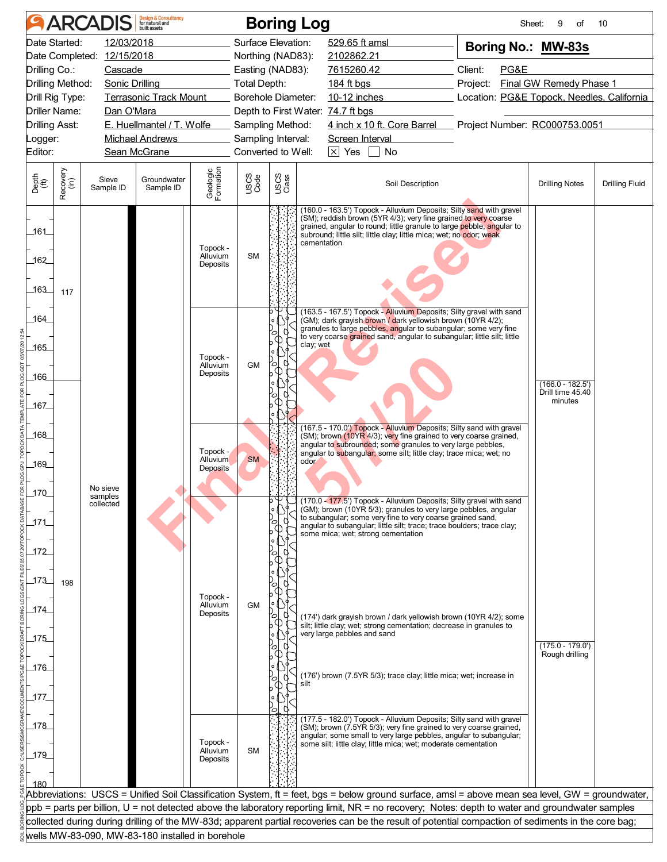|                                  |                            | <b>ARCADIS</b>                                   | <b>Design &amp; Consultancy</b><br>for natural and |                                  |                                        |               | <b>Boring Log</b>                                                                                                                                                                                                                                                                                     |                                            | Sheet:<br>9<br>of                      | 10                    |
|----------------------------------|----------------------------|--------------------------------------------------|----------------------------------------------------|----------------------------------|----------------------------------------|---------------|-------------------------------------------------------------------------------------------------------------------------------------------------------------------------------------------------------------------------------------------------------------------------------------------------------|--------------------------------------------|----------------------------------------|-----------------------|
|                                  | Date Started:              | 12/03/2018                                       |                                                    |                                  | Surface Elevation:                     |               | 529.65 ft amsl                                                                                                                                                                                                                                                                                        | Boring No.: MW-83s                         |                                        |                       |
|                                  | Date Completed: 12/15/2018 |                                                  |                                                    | Northing (NAD83):                |                                        | 2102862.21    |                                                                                                                                                                                                                                                                                                       |                                            |                                        |                       |
| Drilling Co.:                    |                            | Cascade                                          |                                                    |                                  | Easting (NAD83):                       |               | 7615260.42                                                                                                                                                                                                                                                                                            | Client:<br>PG&E                            |                                        |                       |
| Drilling Method:                 |                            | Sonic Drilling                                   |                                                    |                                  | <b>Total Depth:</b>                    |               | 184 ft bgs                                                                                                                                                                                                                                                                                            | Project:                                   | <b>Final GW Remedy Phase 1</b>         |                       |
| Drill Rig Type:                  |                            |                                                  | <b>Terrasonic Track Mount</b>                      |                                  | <b>Borehole Diameter:</b>              |               | 10-12 inches                                                                                                                                                                                                                                                                                          | Location: PG&E Topock, Needles, California |                                        |                       |
|                                  | <b>Driller Name:</b>       | Dan O'Mara                                       | E. Huellmantel / T. Wolfe                          |                                  |                                        |               | Depth to First Water: 74.7 ft bgs<br>4 inch x 10 ft. Core Barrel Project Number: RC000753.0051                                                                                                                                                                                                        |                                            |                                        |                       |
| <b>Drilling Asst:</b><br>Logger: |                            |                                                  | Michael Andrews <b>Michael</b>                     |                                  | Sampling Method:<br>Sampling Interval: |               | Screen Interval                                                                                                                                                                                                                                                                                       |                                            |                                        |                       |
| Editor:                          |                            |                                                  | Sean McGrane                                       |                                  | Converted to Well:                     |               | $\boxed{\times}$ Yes $\boxed{\phantom{1}}$ No                                                                                                                                                                                                                                                         |                                            |                                        |                       |
|                                  |                            |                                                  |                                                    |                                  |                                        |               |                                                                                                                                                                                                                                                                                                       |                                            |                                        |                       |
| Depth<br>(ft)                    | Recovery<br>(in)           | Sieve<br>Sample ID                               | Groundwater<br>Sample ID                           | Geologic<br>Formation            | <b>USCS</b><br>Code                    | USCS<br>Class | Soil Description                                                                                                                                                                                                                                                                                      |                                            | <b>Drilling Notes</b>                  | <b>Drilling Fluid</b> |
| _161_<br>162                     |                            |                                                  |                                                    | Topock -<br>Alluvium<br>Deposits | <b>SM</b>                              |               | (160.0 - 163.5') Topock - Alluvium Deposits; Silty sand with gravel<br>(SM); reddish brown (5YR 4/3); very fine grained to very coarse<br>grained, angular to round; little granule to large pebble, angular to<br>subround; little silt; little clay; little mica; wet; no odor; weak<br>cementation |                                            |                                        |                       |
| 163                              | 117                        |                                                  |                                                    |                                  |                                        |               | (163.5 - 167.5') Topock - Alluvium Deposits; Silty gravel with sand                                                                                                                                                                                                                                   |                                            |                                        |                       |
| 164                              |                            |                                                  |                                                    |                                  |                                        |               | (GM); dark grayish brown / dark yellowish brown (10YR 4/2);<br>granules to large pebbles, angular to subangular; some very fine                                                                                                                                                                       |                                            |                                        |                       |
|                                  |                            |                                                  |                                                    |                                  |                                        |               | to very coarse grained sand, angular to subangular; little silt; little<br>clay; wet                                                                                                                                                                                                                  |                                            |                                        |                       |
| .165                             |                            |                                                  |                                                    | Topock -                         |                                        |               |                                                                                                                                                                                                                                                                                                       |                                            |                                        |                       |
| _166_                            |                            |                                                  |                                                    | Alluvium<br>Deposits             | <b>GM</b>                              | $\circ$       |                                                                                                                                                                                                                                                                                                       |                                            |                                        |                       |
|                                  |                            |                                                  |                                                    |                                  |                                        |               |                                                                                                                                                                                                                                                                                                       |                                            | $(166.0 - 182.5')$<br>Drill time 45.40 |                       |
| _167_                            |                            |                                                  |                                                    |                                  |                                        |               |                                                                                                                                                                                                                                                                                                       |                                            | minutes                                |                       |
|                                  |                            |                                                  |                                                    |                                  |                                        |               |                                                                                                                                                                                                                                                                                                       |                                            |                                        |                       |
| 168                              |                            |                                                  |                                                    |                                  |                                        |               | (167.5 - 170.0') Topock - Alluvium Deposits; Silty sand with gravel<br>(SM); brown (10YR 4/3); very fine grained to very coarse grained,                                                                                                                                                              |                                            |                                        |                       |
|                                  |                            |                                                  |                                                    | Topock -                         |                                        |               | angular to subrounded; some granules to very large pebbles,<br>angular to subangular; some silt; little clay; trace mica; wet; no                                                                                                                                                                     |                                            |                                        |                       |
| 169                              |                            |                                                  |                                                    | Alluvium<br><b>Deposits</b>      | <b>SM</b>                              |               | odor                                                                                                                                                                                                                                                                                                  |                                            |                                        |                       |
|                                  |                            | No sieve                                         |                                                    |                                  |                                        |               |                                                                                                                                                                                                                                                                                                       |                                            |                                        |                       |
| 170                              |                            | samples<br>collected                             |                                                    |                                  |                                        |               | (170.0 - 177.5') Topock - Alluvium Deposits; Silty gravel with sand                                                                                                                                                                                                                                   |                                            |                                        |                       |
|                                  |                            |                                                  |                                                    |                                  |                                        |               | (GM); brown (10YR 5/3); granules to very large pebbles, angular<br>to subangular; some very fine to very coarse grained sand,                                                                                                                                                                         |                                            |                                        |                       |
| 171                              |                            |                                                  |                                                    |                                  |                                        |               | angular to subangular; little silt; trace; trace boulders; trace clay;<br>some mica; wet; strong cementation                                                                                                                                                                                          |                                            |                                        |                       |
| 172                              |                            |                                                  |                                                    |                                  |                                        |               |                                                                                                                                                                                                                                                                                                       |                                            |                                        |                       |
|                                  |                            |                                                  |                                                    |                                  |                                        |               |                                                                                                                                                                                                                                                                                                       |                                            |                                        |                       |
| _173_                            | 198                        |                                                  |                                                    |                                  |                                        |               |                                                                                                                                                                                                                                                                                                       |                                            |                                        |                       |
|                                  |                            |                                                  |                                                    | Topock -                         |                                        |               |                                                                                                                                                                                                                                                                                                       |                                            |                                        |                       |
| 174                              |                            |                                                  |                                                    | Alluvium<br>Deposits             | <b>GM</b>                              |               |                                                                                                                                                                                                                                                                                                       |                                            |                                        |                       |
|                                  |                            |                                                  |                                                    |                                  |                                        |               | (174') dark grayish brown / dark yellowish brown (10YR 4/2); some<br>silt; little clay; wet; strong cementation; decrease in granules to                                                                                                                                                              |                                            |                                        |                       |
| $175$                            |                            |                                                  |                                                    |                                  |                                        |               | very large pebbles and sand                                                                                                                                                                                                                                                                           |                                            | $(175.0 - 179.0)$                      |                       |
|                                  |                            |                                                  |                                                    |                                  |                                        |               |                                                                                                                                                                                                                                                                                                       |                                            | Rough drilling                         |                       |
| 176                              |                            |                                                  |                                                    |                                  |                                        |               | (176') brown (7.5YR 5/3); trace clay; little mica; wet; increase in                                                                                                                                                                                                                                   |                                            |                                        |                       |
|                                  |                            |                                                  |                                                    |                                  |                                        |               | silt                                                                                                                                                                                                                                                                                                  |                                            |                                        |                       |
| 177                              |                            |                                                  |                                                    |                                  |                                        |               |                                                                                                                                                                                                                                                                                                       |                                            |                                        |                       |
|                                  |                            |                                                  |                                                    |                                  |                                        | О             | (177.5 - 182.0') Topock - Alluvium Deposits; Silty sand with gravel                                                                                                                                                                                                                                   |                                            |                                        |                       |
| 178                              |                            |                                                  |                                                    |                                  |                                        |               | (SM); brown (7.5YR 5/3); very fine grained to very coarse grained,<br>angular; some small to very large pebbles, angular to subangular;                                                                                                                                                               |                                            |                                        |                       |
| 179                              |                            |                                                  |                                                    | Topock -<br>Alluvium             | <b>SM</b>                              |               | some silt; little clay; little mica; wet; moderate cementation                                                                                                                                                                                                                                        |                                            |                                        |                       |
|                                  |                            |                                                  |                                                    | Deposits                         |                                        |               |                                                                                                                                                                                                                                                                                                       |                                            |                                        |                       |
| 180                              |                            |                                                  |                                                    |                                  |                                        |               |                                                                                                                                                                                                                                                                                                       |                                            |                                        |                       |
|                                  |                            |                                                  |                                                    |                                  |                                        |               | Abbreviations: USCS = Unified Soil Classification System, ft = feet, bgs = below ground surface, amsl = above mean sea level, GW = groundwater,                                                                                                                                                       |                                            |                                        |                       |
|                                  |                            |                                                  |                                                    |                                  |                                        |               | ppb = parts per billion, U = not detected above the laboratory reporting limit, NR = no recovery; Notes: depth to water and groundwater samples                                                                                                                                                       |                                            |                                        |                       |
|                                  |                            |                                                  |                                                    |                                  |                                        |               | collected during during drilling of the MW-83d; apparent partial recoveries can be the result of potential compaction of sediments in the core bag;                                                                                                                                                   |                                            |                                        |                       |
|                                  |                            | wells MW-83-090, MW-83-180 installed in borehole |                                                    |                                  |                                        |               |                                                                                                                                                                                                                                                                                                       |                                            |                                        |                       |